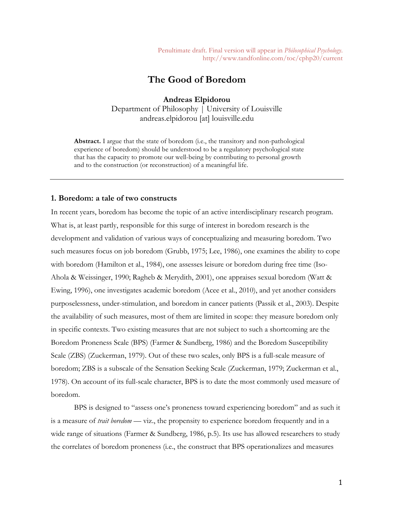Penultimate draft. Final version will appear in *Philosophical Psychology*. http://www.tandfonline.com/toc/cphp20/current

# **The Good of Boredom**

**Andreas Elpidorou** Department of Philosophy | University of Louisville andreas.elpidorou [at] louisville.edu

**Abstract.** I argue that the state of boredom (i.e., the transitory and non-pathological experience of boredom) should be understood to be a regulatory psychological state that has the capacity to promote our well-being by contributing to personal growth and to the construction (or reconstruction) of a meaningful life.

# **1. Boredom: a tale of two constructs**

In recent years, boredom has become the topic of an active interdisciplinary research program. What is, at least partly, responsible for this surge of interest in boredom research is the development and validation of various ways of conceptualizing and measuring boredom. Two such measures focus on job boredom (Grubb, 1975; Lee, 1986), one examines the ability to cope with boredom (Hamilton et al., 1984), one assesses leisure or boredom during free time (Iso-Ahola & Weissinger, 1990; Ragheb & Merydith, 2001), one appraises sexual boredom (Watt & Ewing, 1996), one investigates academic boredom (Acee et al., 2010), and yet another considers purposelessness, under-stimulation, and boredom in cancer patients (Passik et al., 2003). Despite the availability of such measures, most of them are limited in scope: they measure boredom only in specific contexts. Two existing measures that are not subject to such a shortcoming are the Boredom Proneness Scale (BPS) (Farmer & Sundberg, 1986) and the Boredom Susceptibility Scale (ZBS) (Zuckerman, 1979). Out of these two scales, only BPS is a full-scale measure of boredom; ZBS is a subscale of the Sensation Seeking Scale (Zuckerman, 1979; Zuckerman et al., 1978). On account of its full-scale character, BPS is to date the most commonly used measure of boredom.

BPS is designed to "assess one's proneness toward experiencing boredom" and as such it is a measure of *trait boredom* — viz., the propensity to experience boredom frequently and in a wide range of situations (Farmer & Sundberg, 1986, p.5). Its use has allowed researchers to study the correlates of boredom proneness (i.e., the construct that BPS operationalizes and measures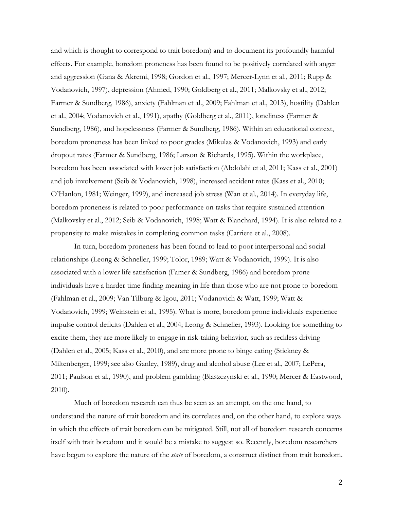and which is thought to correspond to trait boredom) and to document its profoundly harmful effects. For example, boredom proneness has been found to be positively correlated with anger and aggression (Gana & Akremi, 1998; Gordon et al., 1997; Mercer-Lynn et al., 2011; Rupp & Vodanovich, 1997), depression (Ahmed, 1990; Goldberg et al., 2011; Malkovsky et al., 2012; Farmer & Sundberg, 1986), anxiety (Fahlman et al., 2009; Fahlman et al., 2013), hostility (Dahlen et al., 2004; Vodanovich et al., 1991), apathy (Goldberg et al., 2011), loneliness (Farmer & Sundberg, 1986), and hopelessness (Farmer & Sundberg, 1986). Within an educational context, boredom proneness has been linked to poor grades (Mikulas & Vodanovich, 1993) and early dropout rates (Farmer & Sundberg, 1986; Larson & Richards, 1995). Within the workplace, boredom has been associated with lower job satisfaction (Abdolahi et al, 2011; Kass et al., 2001) and job involvement (Seib & Vodanovich, 1998), increased accident rates (Kass et al., 2010; O'Hanlon, 1981; Weinger, 1999), and increased job stress (Wan et al., 2014). In everyday life, boredom proneness is related to poor performance on tasks that require sustained attention (Malkovsky et al., 2012; Seib & Vodanovich, 1998; Watt & Blanchard, 1994). It is also related to a propensity to make mistakes in completing common tasks (Carriere et al., 2008).

In turn, boredom proneness has been found to lead to poor interpersonal and social relationships (Leong & Schneller, 1999; Tolor, 1989; Watt & Vodanovich, 1999). It is also associated with a lower life satisfaction (Famer & Sundberg, 1986) and boredom prone individuals have a harder time finding meaning in life than those who are not prone to boredom (Fahlman et al., 2009; Van Tilburg & Igou, 2011; Vodanovich & Watt, 1999; Watt & Vodanovich, 1999; Weinstein et al., 1995). What is more, boredom prone individuals experience impulse control deficits (Dahlen et al., 2004; Leong & Schneller, 1993). Looking for something to excite them, they are more likely to engage in risk-taking behavior, such as reckless driving (Dahlen et al., 2005; Kass et al., 2010), and are more prone to binge eating (Stickney & Miltenberger, 1999; see also Ganley, 1989), drug and alcohol abuse (Lee et al., 2007; LePera, 2011; Paulson et al., 1990), and problem gambling (Blaszczynski et al., 1990; Mercer & Eastwood, 2010).

Much of boredom research can thus be seen as an attempt, on the one hand, to understand the nature of trait boredom and its correlates and, on the other hand, to explore ways in which the effects of trait boredom can be mitigated. Still, not all of boredom research concerns itself with trait boredom and it would be a mistake to suggest so. Recently, boredom researchers have begun to explore the nature of the *state* of boredom, a construct distinct from trait boredom.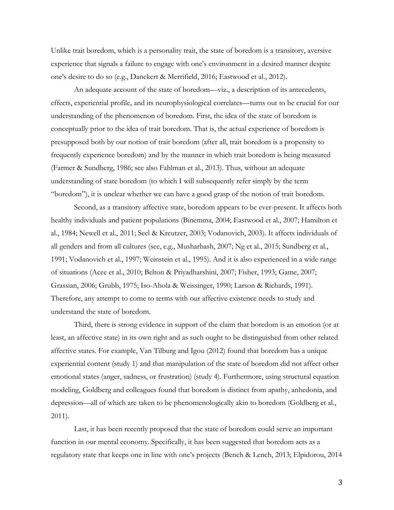Unlike trait boredom, which is a personality trait, the state of boredom is a transitory, aversive experience that signals a failure to engage with one's environment in a desired manner despite one's desire to do so (e.g., Danckert & Merrifield, 2016; Eastwood et al., 2012).

An adequate account of the state of boredom—viz., a description of its antecedents, effects, experiential profile, and its neurophysiological correlates—turns out to be crucial for our understanding of the phenomenon of boredom. First, the idea of the state of boredom is conceptually prior to the idea of trait boredom. That is, the actual experience of boredom is presupposed both by our notion of trait boredom (after all, trait boredom is a propensity to frequently experience boredom) and by the manner in which trait boredom is being measured (Farmer & Sundberg, 1986; see also Fahlman et al., 2013). Thus, without an adequate understanding of state boredom (to which I will subsequently refer simply by the term "boredom"), it is unclear whether we can have a good grasp of the notion of trait boredom.

Second, as a transitory affective state, boredom appears to be ever-present. It affects both healthy individuals and patient populations (Binemma, 2004; Eastwood et al., 2007; Hamilton et al., 1984; Newell et al., 2011; Seel & Kreutzer, 2003; Vodanovich, 2003). It affects individuals of all genders and from all cultures (see, e.g., Musharbash, 2007; Ng et al., 2015; Sundberg et al., 1991; Vodanovich et al., 1997; Weinstein et al., 1995). And it is also experienced in a wide range of situations (Acee et al., 2010; Belton & Priyadharshini, 2007; Fisher, 1993; Game, 2007; Grassian, 2006; Grubb, 1975; Iso-Ahola & Weissinger, 1990; Larson & Richards, 1991). Therefore, any attempt to come to terms with our affective existence needs to study and understand the state of boredom.

Third, there is strong evidence in support of the claim that boredom is an emotion (or at least, an affective state) in its own right and as such ought to be distinguished from other related affective states. For example, Van Tilburg and Igou (2012) found that boredom has a unique experiential content (study 1) and that manipulation of the state of boredom did not affect other emotional states (anger, sadness, or frustration) (study 4). Furthermore, using structural equation modeling, Goldberg and colleagues found that boredom is distinct from apathy, anhedonia, and depression—all of which are taken to be phenomenologically akin to boredom (Goldberg et al., 2011).

Last, it has been recently proposed that the state of boredom could serve an important function in our mental economy. Specifically, it has been suggested that boredom acts as a regulatory state that keeps one in line with one's projects (Bench & Lench, 2013; Elpidorou, 2014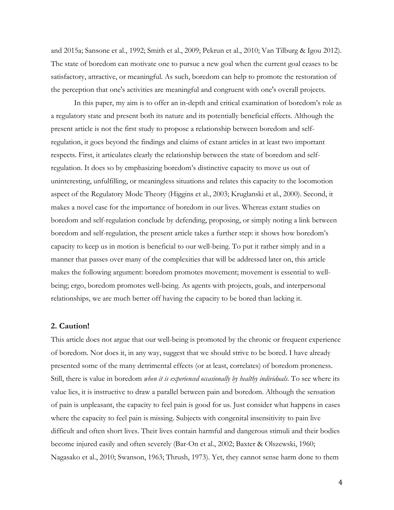and 2015a; Sansone et al., 1992; Smith et al., 2009; Pekrun et al., 2010; Van Tilburg & Igou 2012). The state of boredom can motivate one to pursue a new goal when the current goal ceases to be satisfactory, attractive, or meaningful. As such, boredom can help to promote the restoration of the perception that one's activities are meaningful and congruent with one's overall projects.

In this paper, my aim is to offer an in-depth and critical examination of boredom's role as a regulatory state and present both its nature and its potentially beneficial effects. Although the present article is not the first study to propose a relationship between boredom and selfregulation, it goes beyond the findings and claims of extant articles in at least two important respects. First, it articulates clearly the relationship between the state of boredom and selfregulation. It does so by emphasizing boredom's distinctive capacity to move us out of uninteresting, unfulfilling, or meaningless situations and relates this capacity to the locomotion aspect of the Regulatory Mode Theory (Higgins et al., 2003; Kruglanski et al., 2000). Second, it makes a novel case for the importance of boredom in our lives. Whereas extant studies on boredom and self-regulation conclude by defending, proposing, or simply noting a link between boredom and self-regulation, the present article takes a further step: it shows how boredom's capacity to keep us in motion is beneficial to our well-being. To put it rather simply and in a manner that passes over many of the complexities that will be addressed later on, this article makes the following argument: boredom promotes movement; movement is essential to wellbeing; ergo, boredom promotes well-being. As agents with projects, goals, and interpersonal relationships, we are much better off having the capacity to be bored than lacking it.

## **2. Caution!**

This article does not argue that our well-being is promoted by the chronic or frequent experience of boredom. Nor does it, in any way, suggest that we should strive to be bored. I have already presented some of the many detrimental effects (or at least, correlates) of boredom proneness. Still, there is value in boredom *when it is experienced occasionally by healthy individuals*. To see where its value lies, it is instructive to draw a parallel between pain and boredom. Although the sensation of pain is unpleasant, the capacity to feel pain is good for us. Just consider what happens in cases where the capacity to feel pain is missing. Subjects with congenital insensitivity to pain live difficult and often short lives. Their lives contain harmful and dangerous stimuli and their bodies become injured easily and often severely (Bar-On et al., 2002; Baxter & Olszewski, 1960; Nagasako et al., 2010; Swanson, 1963; Thrush, 1973). Yet, they cannot sense harm done to them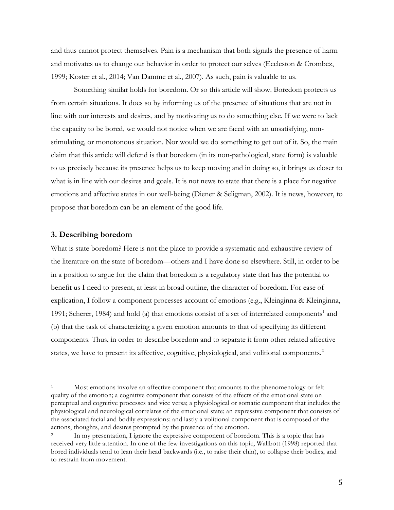and thus cannot protect themselves. Pain is a mechanism that both signals the presence of harm and motivates us to change our behavior in order to protect our selves (Eccleston & Crombez, 1999; Koster et al., 2014; Van Damme et al., 2007). As such, pain is valuable to us.

Something similar holds for boredom. Or so this article will show. Boredom protects us from certain situations. It does so by informing us of the presence of situations that are not in line with our interests and desires, and by motivating us to do something else. If we were to lack the capacity to be bored, we would not notice when we are faced with an unsatisfying, nonstimulating, or monotonous situation. Nor would we do something to get out of it. So, the main claim that this article will defend is that boredom (in its non-pathological, state form) is valuable to us precisely because its presence helps us to keep moving and in doing so, it brings us closer to what is in line with our desires and goals. It is not news to state that there is a place for negative emotions and affective states in our well-being (Diener & Seligman, 2002). It is news, however, to propose that boredom can be an element of the good life.

#### **3. Describing boredom**

 

What is state boredom? Here is not the place to provide a systematic and exhaustive review of the literature on the state of boredom—others and I have done so elsewhere. Still, in order to be in a position to argue for the claim that boredom is a regulatory state that has the potential to benefit us I need to present, at least in broad outline, the character of boredom. For ease of explication, I follow a component processes account of emotions (e.g., Kleinginna & Kleinginna, 1991; Scherer, 1984) and hold (a) that emotions consist of a set of interrelated components<sup>1</sup> and (b) that the task of characterizing a given emotion amounts to that of specifying its different components. Thus, in order to describe boredom and to separate it from other related affective states, we have to present its affective, cognitive, physiological, and volitional components.<sup>2</sup>

Most emotions involve an affective component that amounts to the phenomenology or felt quality of the emotion; a cognitive component that consists of the effects of the emotional state on perceptual and cognitive processes and vice versa; a physiological or somatic component that includes the physiological and neurological correlates of the emotional state; an expressive component that consists of the associated facial and bodily expressions; and lastly a volitional component that is composed of the actions, thoughts, and desires prompted by the presence of the emotion.

<sup>&</sup>lt;sup>2</sup> In my presentation, I ignore the expressive component of boredom. This is a topic that has received very little attention. In one of the few investigations on this topic, Wallbott (1998) reported that bored individuals tend to lean their head backwards (i.e., to raise their chin), to collapse their bodies, and to restrain from movement.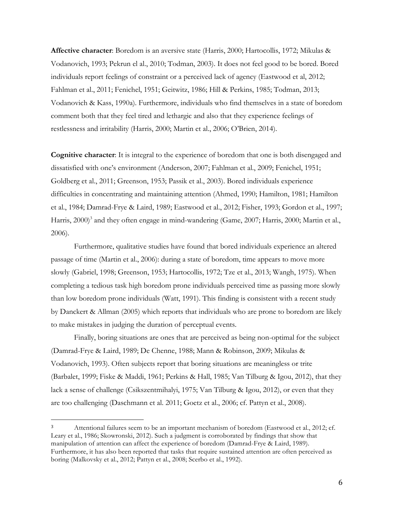**Affective character**: Boredom is an aversive state (Harris, 2000; Hartocollis, 1972; Mikulas & Vodanovich, 1993; Pekrun el al., 2010; Todman, 2003). It does not feel good to be bored. Bored individuals report feelings of constraint or a perceived lack of agency (Eastwood et al, 2012; Fahlman et al., 2011; Fenichel, 1951; Geitwitz, 1986; Hill & Perkins, 1985; Todman, 2013; Vodanovich & Kass, 1990a). Furthermore, individuals who find themselves in a state of boredom comment both that they feel tired and lethargic and also that they experience feelings of restlessness and irritability (Harris, 2000; Martin et al., 2006; O'Brien, 2014).

**Cognitive character**: It is integral to the experience of boredom that one is both disengaged and dissatisfied with one's environment (Anderson, 2007; Fahlman et al., 2009; Fenichel, 1951; Goldberg et al., 2011; Greenson, 1953; Passik et al., 2003). Bored individuals experience difficulties in concentrating and maintaining attention (Ahmed, 1990; Hamilton, 1981; Hamilton et al., 1984; Damrad-Frye & Laird, 1989; Eastwood et al., 2012; Fisher, 1993; Gordon et al., 1997; Harris, 2000)<sup>3</sup> and they often engage in mind-wandering (Game, 2007; Harris, 2000; Martin et al., 2006).

Furthermore, qualitative studies have found that bored individuals experience an altered passage of time (Martin et al., 2006): during a state of boredom, time appears to move more slowly (Gabriel, 1998; Greenson, 1953; Hartocollis, 1972; Tze et al., 2013; Wangh, 1975). When completing a tedious task high boredom prone individuals perceived time as passing more slowly than low boredom prone individuals (Watt, 1991). This finding is consistent with a recent study by Danckert & Allman (2005) which reports that individuals who are prone to boredom are likely to make mistakes in judging the duration of perceptual events.

Finally, boring situations are ones that are perceived as being non-optimal for the subject (Damrad-Frye & Laird, 1989; De Chenne, 1988; Mann & Robinson, 2009; Mikulas & Vodanovich, 1993). Often subjects report that boring situations are meaningless or trite (Barbalet, 1999; Fiske & Maddi, 1961; Perkins & Hall, 1985; Van Tilburg & Igou, 2012), that they lack a sense of challenge (Csikszentmihalyi, 1975; Van Tilburg & Igou, 2012), or even that they are too challenging (Daschmann et al. 2011; Goetz et al., 2006; cf. Pattyn et al., 2008).

 

<sup>&</sup>lt;sup>3</sup> Attentional failures seem to be an important mechanism of boredom (Eastwood et al., 2012; cf. Leary et al., 1986; Skowronski, 2012). Such a judgment is corroborated by findings that show that manipulation of attention can affect the experience of boredom (Damrad-Frye & Laird, 1989). Furthermore, it has also been reported that tasks that require sustained attention are often perceived as boring (Malkovsky et al., 2012; Pattyn et al., 2008; Scerbo et al., 1992).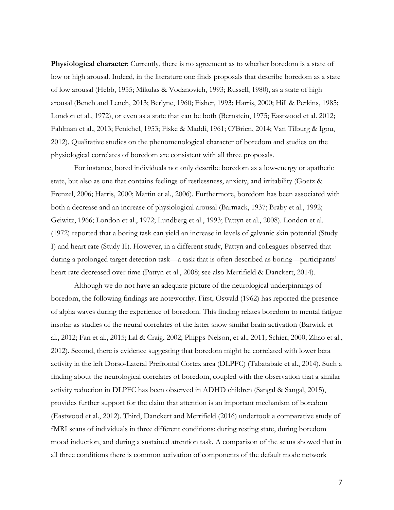**Physiological character**: Currently, there is no agreement as to whether boredom is a state of low or high arousal. Indeed, in the literature one finds proposals that describe boredom as a state of low arousal (Hebb, 1955; Mikulas & Vodanovich, 1993; Russell, 1980), as a state of high arousal (Bench and Lench, 2013; Berlyne, 1960; Fisher, 1993; Harris, 2000; Hill & Perkins, 1985; London et al., 1972), or even as a state that can be both (Bernstein, 1975; Eastwood et al. 2012; Fahlman et al., 2013; Fenichel, 1953; Fiske & Maddi, 1961; O'Brien, 2014; Van Tilburg & Igou, 2012). Qualitative studies on the phenomenological character of boredom and studies on the physiological correlates of boredom are consistent with all three proposals.

For instance, bored individuals not only describe boredom as a low-energy or apathetic state, but also as one that contains feelings of restlessness, anxiety, and irritability (Goetz & Frenzel, 2006; Harris, 2000; Martin et al., 2006). Furthermore, boredom has been associated with both a decrease and an increase of physiological arousal (Barmack, 1937; Braby et al., 1992; Geiwitz, 1966; London et al., 1972; Lundberg et al., 1993; Pattyn et al., 2008). London et al. (1972) reported that a boring task can yield an increase in levels of galvanic skin potential (Study I) and heart rate (Study II). However, in a different study, Pattyn and colleagues observed that during a prolonged target detection task—a task that is often described as boring—participants' heart rate decreased over time (Pattyn et al., 2008; see also Merrifield & Danckert, 2014).

Although we do not have an adequate picture of the neurological underpinnings of boredom, the following findings are noteworthy. First, Oswald (1962) has reported the presence of alpha waves during the experience of boredom. This finding relates boredom to mental fatigue insofar as studies of the neural correlates of the latter show similar brain activation (Barwick et al., 2012; Fan et al., 2015; Lal & Craig, 2002; Phipps-Nelson, et al., 2011; Schier, 2000; Zhao et al., 2012). Second, there is evidence suggesting that boredom might be correlated with lower beta activity in the left Dorso-Lateral Prefrontal Cortex area (DLPFC) (Tabatabaie et al., 2014). Such a finding about the neurological correlates of boredom, coupled with the observation that a similar activity reduction in DLPFC has been observed in ADHD children (Sangal & Sangal, 2015), provides further support for the claim that attention is an important mechanism of boredom (Eastwood et al., 2012). Third, Danckert and Merrifield (2016) undertook a comparative study of fMRI scans of individuals in three different conditions: during resting state, during boredom mood induction, and during a sustained attention task. A comparison of the scans showed that in all three conditions there is common activation of components of the default mode network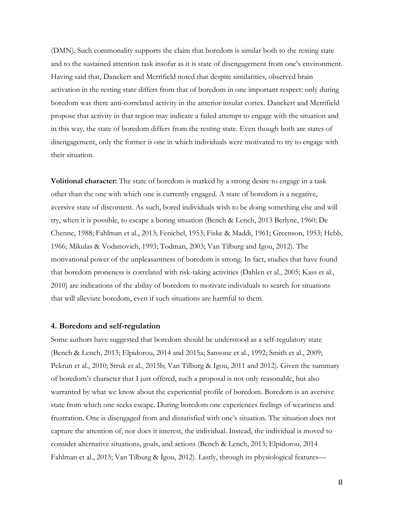(DMN). Such commonality supports the claim that boredom is similar both to the resting state and to the sustained attention task insofar as it is state of disengagement from one's environment. Having said that, Danckert and Merrifield noted that despite similarities, observed brain activation in the resting state differs from that of boredom in one important respect: only during boredom was there anti-correlated activity in the anterior insular cortex. Danckert and Merrifield propose that activity in that region may indicate a failed attempt to engage with the situation and in this way, the state of boredom differs from the resting state. Even though both are states of disengagement, only the former is one in which individuals were motivated to try to engage with their situation.

**Volitional character:** The state of boredom is marked by a strong desire to engage in a task other than the one with which one is currently engaged. A state of boredom is a negative, aversive state of discontent. As such, bored individuals wish to be doing something else and will try, when it is possible, to escape a boring situation (Bench & Lench, 2013 Berlyne, 1960; De Chenne, 1988; Fahlman et al., 2013; Fenichel, 1953; Fiske & Maddi, 1961; Greenson, 1953; Hebb, 1966; Mikulas & Vodanovich, 1993; Todman, 2003; Van Tilburg and Igou, 2012). The motivational power of the unpleasantness of boredom is strong. In fact, studies that have found that boredom proneness is correlated with risk-taking activities (Dahlen et al., 2005; Kass et al., 2010) are indications of the ability of boredom to motivate individuals to search for situations that will alleviate boredom, even if such situations are harmful to them.

#### **4. Boredom and self-regulation**

Some authors have suggested that boredom should be understood as a self-regulatory state (Bench & Lench, 2013; Elpidorou, 2014 and 2015a; Sansone et al., 1992; Smith et al., 2009; Pekrun et al., 2010; Struk et al., 2015b; Van Tilburg & Igou, 2011 and 2012). Given the summary of boredom's character that I just offered, such a proposal is not only reasonable, but also warranted by what we know about the experiential profile of boredom. Boredom is an aversive state from which one seeks escape. During boredom one experiences feelings of weariness and frustration. One is disengaged from and dissatisfied with one's situation. The situation does not capture the attention of, nor does it interest, the individual. Instead, the individual is moved to consider alternative situations, goals, and actions (Bench & Lench, 2013; Elpidorou, 2014 Fahlman et al., 2013; Van Tilburg & Igou, 2012). Lastly, through its physiological features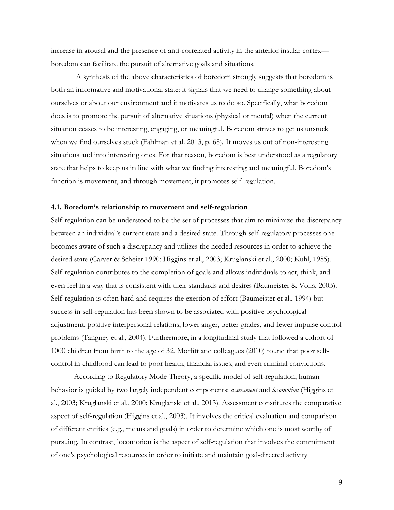increase in arousal and the presence of anti-correlated activity in the anterior insular cortex boredom can facilitate the pursuit of alternative goals and situations.

A synthesis of the above characteristics of boredom strongly suggests that boredom is both an informative and motivational state: it signals that we need to change something about ourselves or about our environment and it motivates us to do so. Specifically, what boredom does is to promote the pursuit of alternative situations (physical or mental) when the current situation ceases to be interesting, engaging, or meaningful. Boredom strives to get us unstuck when we find ourselves stuck (Fahlman et al. 2013, p. 68). It moves us out of non-interesting situations and into interesting ones. For that reason, boredom is best understood as a regulatory state that helps to keep us in line with what we finding interesting and meaningful. Boredom's function is movement, and through movement, it promotes self-regulation.

#### **4.1. Boredom's relationship to movement and self-regulation**

Self-regulation can be understood to be the set of processes that aim to minimize the discrepancy between an individual's current state and a desired state. Through self-regulatory processes one becomes aware of such a discrepancy and utilizes the needed resources in order to achieve the desired state (Carver & Scheier 1990; Higgins et al., 2003; Kruglanski et al., 2000; Kuhl, 1985). Self-regulation contributes to the completion of goals and allows individuals to act, think, and even feel in a way that is consistent with their standards and desires (Baumeister & Vohs, 2003). Self-regulation is often hard and requires the exertion of effort (Baumeister et al., 1994) but success in self-regulation has been shown to be associated with positive psychological adjustment, positive interpersonal relations, lower anger, better grades, and fewer impulse control problems (Tangney et al., 2004). Furthermore, in a longitudinal study that followed a cohort of 1000 children from birth to the age of 32, Moffitt and colleagues (2010) found that poor selfcontrol in childhood can lead to poor health, financial issues, and even criminal convictions.

According to Regulatory Mode Theory, a specific model of self-regulation, human behavior is guided by two largely independent components: *assessment* and *locomotion* (Higgins et al., 2003; Kruglanski et al., 2000; Kruglanski et al., 2013). Assessment constitutes the comparative aspect of self-regulation (Higgins et al., 2003). It involves the critical evaluation and comparison of different entities (e.g., means and goals) in order to determine which one is most worthy of pursuing. In contrast, locomotion is the aspect of self-regulation that involves the commitment of one's psychological resources in order to initiate and maintain goal-directed activity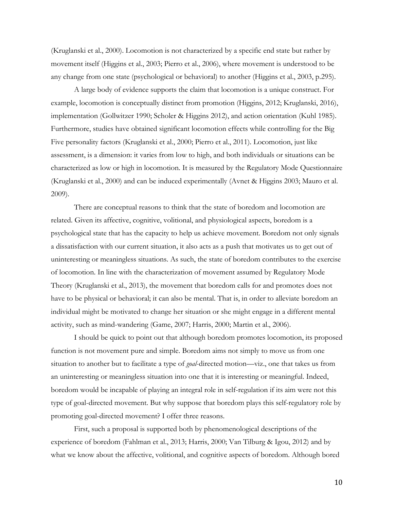(Kruglanski et al., 2000). Locomotion is not characterized by a specific end state but rather by movement itself (Higgins et al., 2003; Pierro et al., 2006), where movement is understood to be any change from one state (psychological or behavioral) to another (Higgins et al., 2003, p.295).

A large body of evidence supports the claim that locomotion is a unique construct. For example, locomotion is conceptually distinct from promotion (Higgins, 2012; Kruglanski, 2016), implementation (Gollwitzer 1990; Scholer & Higgins 2012), and action orientation (Kuhl 1985). Furthermore, studies have obtained significant locomotion effects while controlling for the Big Five personality factors (Kruglanski et al., 2000; Pierro et al., 2011). Locomotion, just like assessment, is a dimension: it varies from low to high, and both individuals or situations can be characterized as low or high in locomotion. It is measured by the Regulatory Mode Questionnaire (Kruglanski et al., 2000) and can be induced experimentally (Avnet & Higgins 2003; Mauro et al. 2009).

There are conceptual reasons to think that the state of boredom and locomotion are related. Given its affective, cognitive, volitional, and physiological aspects, boredom is a psychological state that has the capacity to help us achieve movement. Boredom not only signals a dissatisfaction with our current situation, it also acts as a push that motivates us to get out of uninteresting or meaningless situations. As such, the state of boredom contributes to the exercise of locomotion. In line with the characterization of movement assumed by Regulatory Mode Theory (Kruglanski et al., 2013), the movement that boredom calls for and promotes does not have to be physical or behavioral; it can also be mental. That is, in order to alleviate boredom an individual might be motivated to change her situation or she might engage in a different mental activity, such as mind-wandering (Game, 2007; Harris, 2000; Martin et al., 2006).

I should be quick to point out that although boredom promotes locomotion, its proposed function is not movement pure and simple. Boredom aims not simply to move us from one situation to another but to facilitate a type of *goal*-directed motion—viz., one that takes us from an uninteresting or meaningless situation into one that it is interesting or meaningful. Indeed, boredom would be incapable of playing an integral role in self-regulation if its aim were not this type of goal-directed movement. But why suppose that boredom plays this self-regulatory role by promoting goal-directed movement? I offer three reasons.

First, such a proposal is supported both by phenomenological descriptions of the experience of boredom (Fahlman et al., 2013; Harris, 2000; Van Tilburg & Igou, 2012) and by what we know about the affective, volitional, and cognitive aspects of boredom. Although bored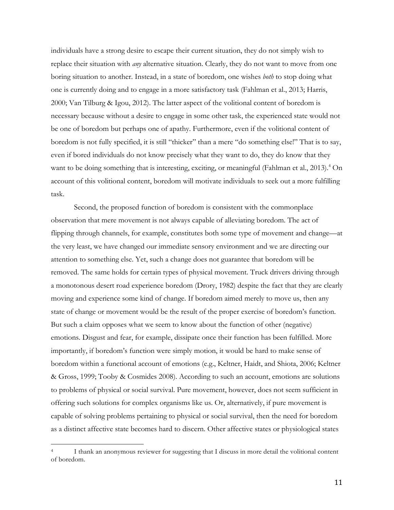individuals have a strong desire to escape their current situation, they do not simply wish to replace their situation with *any* alternative situation. Clearly, they do not want to move from one boring situation to another. Instead, in a state of boredom, one wishes *both* to stop doing what one is currently doing and to engage in a more satisfactory task (Fahlman et al., 2013; Harris, 2000; Van Tilburg & Igou, 2012). The latter aspect of the volitional content of boredom is necessary because without a desire to engage in some other task, the experienced state would not be one of boredom but perhaps one of apathy. Furthermore, even if the volitional content of boredom is not fully specified, it is still "thicker" than a mere "do something else!" That is to say, even if bored individuals do not know precisely what they want to do, they do know that they want to be doing something that is interesting, exciting, or meaningful (Fahlman et al., 2013). <sup>4</sup> On account of this volitional content, boredom will motivate individuals to seek out a more fulfilling task.

Second, the proposed function of boredom is consistent with the commonplace observation that mere movement is not always capable of alleviating boredom. The act of flipping through channels, for example, constitutes both some type of movement and change—at the very least, we have changed our immediate sensory environment and we are directing our attention to something else. Yet, such a change does not guarantee that boredom will be removed. The same holds for certain types of physical movement. Truck drivers driving through a monotonous desert road experience boredom (Drory, 1982) despite the fact that they are clearly moving and experience some kind of change. If boredom aimed merely to move us, then any state of change or movement would be the result of the proper exercise of boredom's function. But such a claim opposes what we seem to know about the function of other (negative) emotions. Disgust and fear, for example, dissipate once their function has been fulfilled. More importantly, if boredom's function were simply motion, it would be hard to make sense of boredom within a functional account of emotions (e.g., Keltner, Haidt, and Shiota, 2006; Keltner & Gross, 1999; Tooby & Cosmides 2008). According to such an account, emotions are solutions to problems of physical or social survival. Pure movement, however, does not seem sufficient in offering such solutions for complex organisms like us. Or, alternatively, if pure movement is capable of solving problems pertaining to physical or social survival, then the need for boredom as a distinct affective state becomes hard to discern. Other affective states or physiological states

 

I thank an anonymous reviewer for suggesting that I discuss in more detail the volitional content of boredom.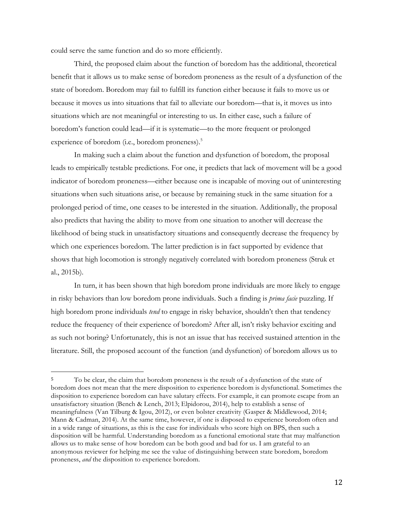could serve the same function and do so more efficiently.

 

Third, the proposed claim about the function of boredom has the additional, theoretical benefit that it allows us to make sense of boredom proneness as the result of a dysfunction of the state of boredom. Boredom may fail to fulfill its function either because it fails to move us or because it moves us into situations that fail to alleviate our boredom—that is, it moves us into situations which are not meaningful or interesting to us. In either case, such a failure of boredom's function could lead—if it is systematic—to the more frequent or prolonged experience of boredom (i.e., boredom proneness). $5$ 

In making such a claim about the function and dysfunction of boredom, the proposal leads to empirically testable predictions. For one, it predicts that lack of movement will be a good indicator of boredom proneness—either because one is incapable of moving out of uninteresting situations when such situations arise, or because by remaining stuck in the same situation for a prolonged period of time, one ceases to be interested in the situation. Additionally, the proposal also predicts that having the ability to move from one situation to another will decrease the likelihood of being stuck in unsatisfactory situations and consequently decrease the frequency by which one experiences boredom. The latter prediction is in fact supported by evidence that shows that high locomotion is strongly negatively correlated with boredom proneness (Struk et al., 2015b).

In turn, it has been shown that high boredom prone individuals are more likely to engage in risky behaviors than low boredom prone individuals. Such a finding is *prima facie* puzzling. If high boredom prone individuals *tend* to engage in risky behavior, shouldn't then that tendency reduce the frequency of their experience of boredom? After all, isn't risky behavior exciting and as such not boring? Unfortunately, this is not an issue that has received sustained attention in the literature. Still, the proposed account of the function (and dysfunction) of boredom allows us to

<sup>&</sup>lt;sup>5</sup> To be clear, the claim that boredom proneness is the result of a dysfunction of the state of boredom does not mean that the mere disposition to experience boredom is dysfunctional. Sometimes the disposition to experience boredom can have salutary effects. For example, it can promote escape from an unsatisfactory situation (Bench & Lench, 2013; Elpidorou, 2014), help to establish a sense of meaningfulness (Van Tilburg & Igou, 2012), or even bolster creativity (Gasper & Middlewood, 2014; Mann & Cadman, 2014). At the same time, however, if one is disposed to experience boredom often and in a wide range of situations, as this is the case for individuals who score high on BPS, then such a disposition will be harmful. Understanding boredom as a functional emotional state that may malfunction allows us to make sense of how boredom can be both good and bad for us. I am grateful to an anonymous reviewer for helping me see the value of distinguishing between state boredom, boredom proneness, *and* the disposition to experience boredom.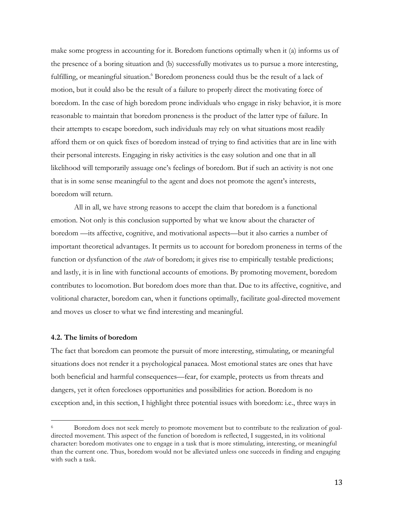make some progress in accounting for it. Boredom functions optimally when it (a) informs us of the presence of a boring situation and (b) successfully motivates us to pursue a more interesting, fulfilling, or meaningful situation.<sup>6</sup> Boredom proneness could thus be the result of a lack of motion, but it could also be the result of a failure to properly direct the motivating force of boredom. In the case of high boredom prone individuals who engage in risky behavior, it is more reasonable to maintain that boredom proneness is the product of the latter type of failure. In their attempts to escape boredom, such individuals may rely on what situations most readily afford them or on quick fixes of boredom instead of trying to find activities that are in line with their personal interests. Engaging in risky activities is the easy solution and one that in all likelihood will temporarily assuage one's feelings of boredom. But if such an activity is not one that is in some sense meaningful to the agent and does not promote the agent's interests, boredom will return.

All in all, we have strong reasons to accept the claim that boredom is a functional emotion. Not only is this conclusion supported by what we know about the character of boredom —its affective, cognitive, and motivational aspects—but it also carries a number of important theoretical advantages. It permits us to account for boredom proneness in terms of the function or dysfunction of the *state* of boredom; it gives rise to empirically testable predictions; and lastly, it is in line with functional accounts of emotions. By promoting movement, boredom contributes to locomotion. But boredom does more than that. Due to its affective, cognitive, and volitional character, boredom can, when it functions optimally, facilitate goal-directed movement and moves us closer to what we find interesting and meaningful.

## **4.2. The limits of boredom**

 

The fact that boredom can promote the pursuit of more interesting, stimulating, or meaningful situations does not render it a psychological panacea. Most emotional states are ones that have both beneficial and harmful consequences—fear, for example, protects us from threats and dangers, yet it often forecloses opportunities and possibilities for action. Boredom is no exception and, in this section, I highlight three potential issues with boredom: i.e., three ways in

<sup>&</sup>lt;sup>6</sup> Boredom does not seek merely to promote movement but to contribute to the realization of goaldirected movement. This aspect of the function of boredom is reflected, I suggested, in its volitional character: boredom motivates one to engage in a task that is more stimulating, interesting, or meaningful than the current one. Thus, boredom would not be alleviated unless one succeeds in finding and engaging with such a task.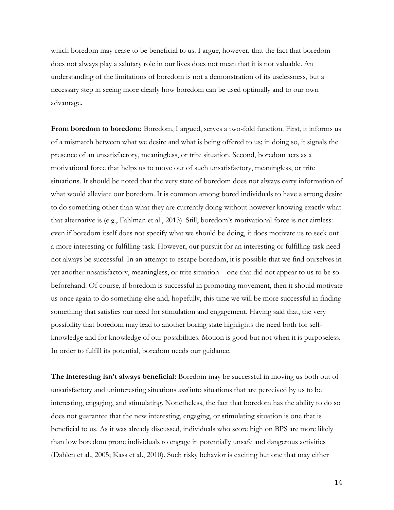which boredom may cease to be beneficial to us. I argue, however, that the fact that boredom does not always play a salutary role in our lives does not mean that it is not valuable. An understanding of the limitations of boredom is not a demonstration of its uselessness, but a necessary step in seeing more clearly how boredom can be used optimally and to our own advantage.

**From boredom to boredom:** Boredom, I argued, serves a two-fold function. First, it informs us of a mismatch between what we desire and what is being offered to us; in doing so, it signals the presence of an unsatisfactory, meaningless, or trite situation. Second, boredom acts as a motivational force that helps us to move out of such unsatisfactory, meaningless, or trite situations. It should be noted that the very state of boredom does not always carry information of what would alleviate our boredom. It is common among bored individuals to have a strong desire to do something other than what they are currently doing without however knowing exactly what that alternative is (e.g., Fahlman et al., 2013). Still, boredom's motivational force is not aimless: even if boredom itself does not specify what we should be doing, it does motivate us to seek out a more interesting or fulfilling task. However, our pursuit for an interesting or fulfilling task need not always be successful. In an attempt to escape boredom, it is possible that we find ourselves in yet another unsatisfactory, meaningless, or trite situation—one that did not appear to us to be so beforehand. Of course, if boredom is successful in promoting movement, then it should motivate us once again to do something else and, hopefully, this time we will be more successful in finding something that satisfies our need for stimulation and engagement. Having said that, the very possibility that boredom may lead to another boring state highlights the need both for selfknowledge and for knowledge of our possibilities. Motion is good but not when it is purposeless. In order to fulfill its potential, boredom needs our guidance.

**The interesting isn't always beneficial:** Boredom may be successful in moving us both out of unsatisfactory and uninteresting situations *and* into situations that are perceived by us to be interesting, engaging, and stimulating. Nonetheless, the fact that boredom has the ability to do so does not guarantee that the new interesting, engaging, or stimulating situation is one that is beneficial to us. As it was already discussed, individuals who score high on BPS are more likely than low boredom prone individuals to engage in potentially unsafe and dangerous activities (Dahlen et al., 2005; Kass et al., 2010). Such risky behavior is exciting but one that may either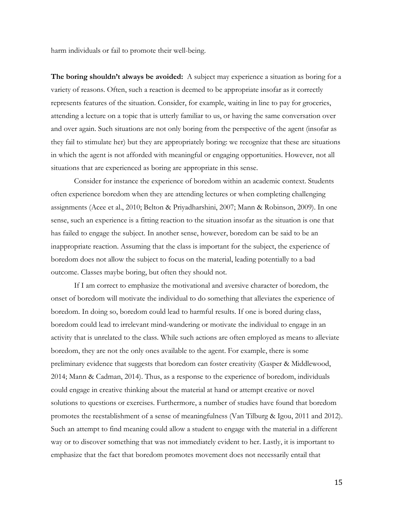harm individuals or fail to promote their well-being.

**The boring shouldn't always be avoided:** A subject may experience a situation as boring for a variety of reasons. Often, such a reaction is deemed to be appropriate insofar as it correctly represents features of the situation. Consider, for example, waiting in line to pay for groceries, attending a lecture on a topic that is utterly familiar to us, or having the same conversation over and over again. Such situations are not only boring from the perspective of the agent (insofar as they fail to stimulate her) but they are appropriately boring: we recognize that these are situations in which the agent is not afforded with meaningful or engaging opportunities. However, not all situations that are experienced as boring are appropriate in this sense.

Consider for instance the experience of boredom within an academic context. Students often experience boredom when they are attending lectures or when completing challenging assignments (Acee et al., 2010; Belton & Priyadharshini, 2007; Mann & Robinson, 2009). In one sense, such an experience is a fitting reaction to the situation insofar as the situation is one that has failed to engage the subject. In another sense, however, boredom can be said to be an inappropriate reaction. Assuming that the class is important for the subject, the experience of boredom does not allow the subject to focus on the material, leading potentially to a bad outcome. Classes maybe boring, but often they should not.

If I am correct to emphasize the motivational and aversive character of boredom, the onset of boredom will motivate the individual to do something that alleviates the experience of boredom. In doing so, boredom could lead to harmful results. If one is bored during class, boredom could lead to irrelevant mind-wandering or motivate the individual to engage in an activity that is unrelated to the class. While such actions are often employed as means to alleviate boredom, they are not the only ones available to the agent. For example, there is some preliminary evidence that suggests that boredom can foster creativity (Gasper & Middlewood, 2014; Mann & Cadman, 2014). Thus, as a response to the experience of boredom, individuals could engage in creative thinking about the material at hand or attempt creative or novel solutions to questions or exercises. Furthermore, a number of studies have found that boredom promotes the reestablishment of a sense of meaningfulness (Van Tilburg & Igou, 2011 and 2012). Such an attempt to find meaning could allow a student to engage with the material in a different way or to discover something that was not immediately evident to her. Lastly, it is important to emphasize that the fact that boredom promotes movement does not necessarily entail that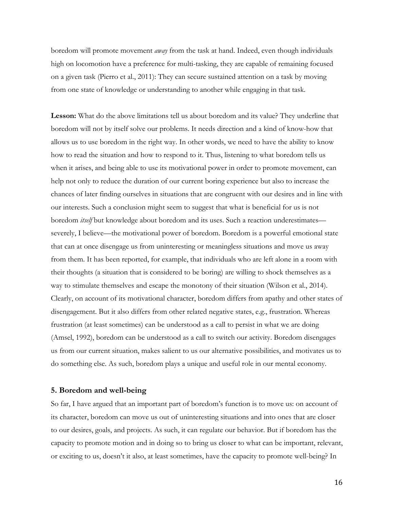boredom will promote movement *away* from the task at hand. Indeed, even though individuals high on locomotion have a preference for multi-tasking, they are capable of remaining focused on a given task (Pierro et al., 2011): They can secure sustained attention on a task by moving from one state of knowledge or understanding to another while engaging in that task.

**Lesson:** What do the above limitations tell us about boredom and its value? They underline that boredom will not by itself solve our problems. It needs direction and a kind of know-how that allows us to use boredom in the right way. In other words, we need to have the ability to know how to read the situation and how to respond to it. Thus, listening to what boredom tells us when it arises, and being able to use its motivational power in order to promote movement, can help not only to reduce the duration of our current boring experience but also to increase the chances of later finding ourselves in situations that are congruent with our desires and in line with our interests. Such a conclusion might seem to suggest that what is beneficial for us is not boredom *itself* but knowledge about boredom and its uses. Such a reaction underestimates severely, I believe—the motivational power of boredom. Boredom is a powerful emotional state that can at once disengage us from uninteresting or meaningless situations and move us away from them. It has been reported, for example, that individuals who are left alone in a room with their thoughts (a situation that is considered to be boring) are willing to shock themselves as a way to stimulate themselves and escape the monotony of their situation (Wilson et al., 2014). Clearly, on account of its motivational character, boredom differs from apathy and other states of disengagement. But it also differs from other related negative states, e.g., frustration. Whereas frustration (at least sometimes) can be understood as a call to persist in what we are doing (Amsel, 1992), boredom can be understood as a call to switch our activity. Boredom disengages us from our current situation, makes salient to us our alternative possibilities, and motivates us to do something else. As such, boredom plays a unique and useful role in our mental economy.

### **5. Boredom and well-being**

So far, I have argued that an important part of boredom's function is to move us: on account of its character, boredom can move us out of uninteresting situations and into ones that are closer to our desires, goals, and projects. As such, it can regulate our behavior. But if boredom has the capacity to promote motion and in doing so to bring us closer to what can be important, relevant, or exciting to us, doesn't it also, at least sometimes, have the capacity to promote well-being? In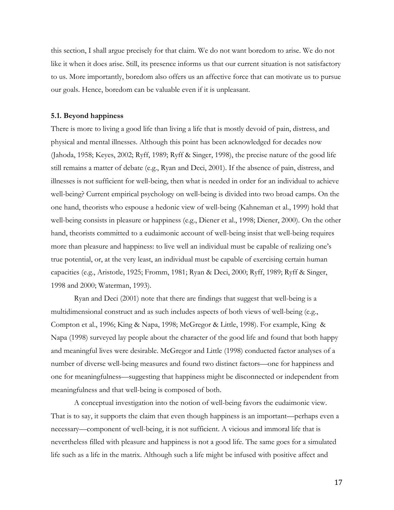this section, I shall argue precisely for that claim. We do not want boredom to arise. We do not like it when it does arise. Still, its presence informs us that our current situation is not satisfactory to us. More importantly, boredom also offers us an affective force that can motivate us to pursue our goals. Hence, boredom can be valuable even if it is unpleasant.

#### **5.1. Beyond happiness**

There is more to living a good life than living a life that is mostly devoid of pain, distress, and physical and mental illnesses. Although this point has been acknowledged for decades now (Jahoda, 1958; Keyes, 2002; Ryff, 1989; Ryff & Singer, 1998), the precise nature of the good life still remains a matter of debate (e.g., Ryan and Deci, 2001). If the absence of pain, distress, and illnesses is not sufficient for well-being, then what is needed in order for an individual to achieve well-being? Current empirical psychology on well-being is divided into two broad camps. On the one hand, theorists who espouse a hedonic view of well-being (Kahneman et al., 1999) hold that well-being consists in pleasure or happiness (e.g., Diener et al., 1998; Diener, 2000). On the other hand, theorists committed to a eudaimonic account of well-being insist that well-being requires more than pleasure and happiness: to live well an individual must be capable of realizing one's true potential, or, at the very least, an individual must be capable of exercising certain human capacities (e.g., Aristotle, 1925; Fromm, 1981; Ryan & Deci, 2000; Ryff, 1989; Ryff & Singer, 1998 and 2000; Waterman, 1993).

Ryan and Deci (2001) note that there are findings that suggest that well-being is a multidimensional construct and as such includes aspects of both views of well-being (e.g., Compton et al., 1996; King & Napa, 1998; McGregor & Little, 1998). For example, King & Napa (1998) surveyed lay people about the character of the good life and found that both happy and meaningful lives were desirable. McGregor and Little (1998) conducted factor analyses of a number of diverse well-being measures and found two distinct factors—one for happiness and one for meaningfulness—suggesting that happiness might be disconnected or independent from meaningfulness and that well-being is composed of both.

A conceptual investigation into the notion of well-being favors the eudaimonic view. That is to say, it supports the claim that even though happiness is an important—perhaps even a necessary—component of well-being, it is not sufficient. A vicious and immoral life that is nevertheless filled with pleasure and happiness is not a good life. The same goes for a simulated life such as a life in the matrix. Although such a life might be infused with positive affect and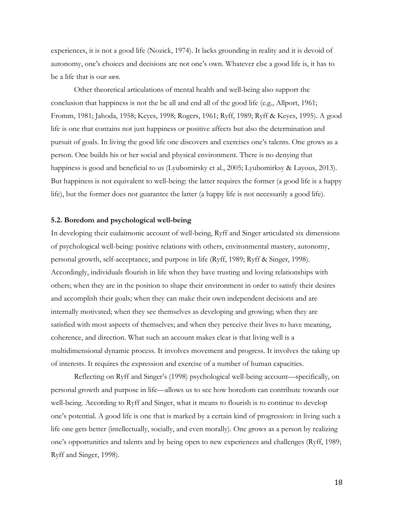experiences, it is not a good life (Nozick, 1974). It lacks grounding in reality and it is devoid of autonomy, one's choices and decisions are not one's own. Whatever else a good life is, it has to be a life that is our *own*.

Other theoretical articulations of mental health and well-being also support the conclusion that happiness is not the be all and end all of the good life (e.g., Allport, 1961; Fromm, 1981; Jahoda, 1958; Keyes, 1998; Rogers, 1961; Ryff, 1989; Ryff & Keyes, 1995). A good life is one that contains not just happiness or positive affects but also the determination and pursuit of goals. In living the good life one discovers and exercises one's talents. One grows as a person. One builds his or her social and physical environment. There is no denying that happiness is good and beneficial to us (Lyubomirsky et al., 2005; Lyubomirksy & Layous, 2013). But happiness is not equivalent to well-being: the latter requires the former (a good life is a happy life), but the former does not guarantee the latter (a happy life is not necessarily a good life).

#### **5.2. Boredom and psychological well-being**

In developing their eudaimonic account of well-being, Ryff and Singer articulated six dimensions of psychological well-being: positive relations with others, environmental mastery, autonomy, personal growth, self-acceptance, and purpose in life (Ryff, 1989; Ryff & Singer, 1998). Accordingly, individuals flourish in life when they have trusting and loving relationships with others; when they are in the position to shape their environment in order to satisfy their desires and accomplish their goals; when they can make their own independent decisions and are internally motivated; when they see themselves as developing and growing; when they are satisfied with most aspects of themselves; and when they perceive their lives to have meaning, coherence, and direction. What such an account makes clear is that living well is a multidimensional dynamic process. It involves movement and progress. It involves the taking up of interests. It requires the expression and exercise of a number of human capacities.

Reflecting on Ryff and Singer's (1998) psychological well-being account—specifically, on personal growth and purpose in life—allows us to see how boredom can contribute towards our well-being. According to Ryff and Singer, what it means to flourish is to continue to develop one's potential. A good life is one that is marked by a certain kind of progression: in living such a life one gets better (intellectually, socially, and even morally). One grows as a person by realizing one's opportunities and talents and by being open to new experiences and challenges (Ryff, 1989; Ryff and Singer, 1998).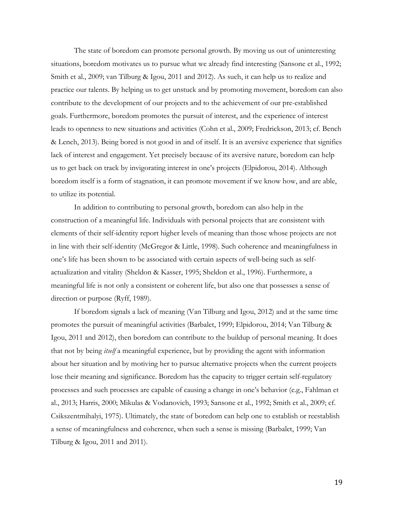The state of boredom can promote personal growth. By moving us out of uninteresting situations, boredom motivates us to pursue what we already find interesting (Sansone et al., 1992; Smith et al., 2009; van Tilburg & Igou, 2011 and 2012). As such, it can help us to realize and practice our talents. By helping us to get unstuck and by promoting movement, boredom can also contribute to the development of our projects and to the achievement of our pre-established goals. Furthermore, boredom promotes the pursuit of interest, and the experience of interest leads to openness to new situations and activities (Cohn et al., 2009; Fredrickson, 2013; cf. Bench & Lench, 2013). Being bored is not good in and of itself. It is an aversive experience that signifies lack of interest and engagement. Yet precisely because of its aversive nature, boredom can help us to get back on track by invigorating interest in one's projects (Elpidorou, 2014). Although boredom itself is a form of stagnation, it can promote movement if we know how, and are able, to utilize its potential.

In addition to contributing to personal growth, boredom can also help in the construction of a meaningful life. Individuals with personal projects that are consistent with elements of their self-identity report higher levels of meaning than those whose projects are not in line with their self-identity (McGregor & Little, 1998). Such coherence and meaningfulness in one's life has been shown to be associated with certain aspects of well-being such as selfactualization and vitality (Sheldon & Kasser, 1995; Sheldon et al., 1996). Furthermore, a meaningful life is not only a consistent or coherent life, but also one that possesses a sense of direction or purpose (Ryff, 1989).

If boredom signals a lack of meaning (Van Tilburg and Igou, 2012) and at the same time promotes the pursuit of meaningful activities (Barbalet, 1999; Elpidorou, 2014; Van Tilburg & Igou, 2011 and 2012), then boredom can contribute to the buildup of personal meaning. It does that not by being *itself* a meaningful experience, but by providing the agent with information about her situation and by motiving her to pursue alternative projects when the current projects lose their meaning and significance. Boredom has the capacity to trigger certain self-regulatory processes and such processes are capable of causing a change in one's behavior (e.g., Fahlman et al., 2013; Harris, 2000; Mikulas & Vodanovich, 1993; Sansone et al., 1992; Smith et al., 2009; cf. Csikszentmihalyi, 1975). Ultimately, the state of boredom can help one to establish or reestablish a sense of meaningfulness and coherence, when such a sense is missing (Barbalet, 1999; Van Tilburg & Igou, 2011 and 2011).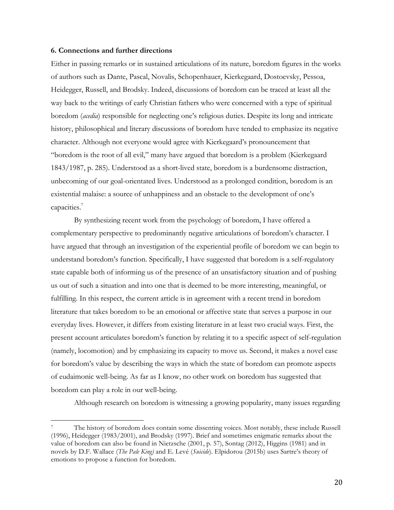#### **6. Connections and further directions**

 

Either in passing remarks or in sustained articulations of its nature, boredom figures in the works of authors such as Dante, Pascal, Novalis, Schopenhauer, Kierkegaard, Dostoevsky, Pessoa, Heidegger, Russell, and Brodsky. Indeed, discussions of boredom can be traced at least all the way back to the writings of early Christian fathers who were concerned with a type of spiritual boredom (*acedia*) responsible for neglecting one's religious duties. Despite its long and intricate history, philosophical and literary discussions of boredom have tended to emphasize its negative character. Although not everyone would agree with Kierkegaard's pronouncement that "boredom is the root of all evil," many have argued that boredom is a problem (Kierkegaard 1843/1987, p. 285). Understood as a short-lived state, boredom is a burdensome distraction, unbecoming of our goal-orientated lives. Understood as a prolonged condition, boredom is an existential malaise: a source of unhappiness and an obstacle to the development of one's capacities. 7

By synthesizing recent work from the psychology of boredom, I have offered a complementary perspective to predominantly negative articulations of boredom's character. I have argued that through an investigation of the experiential profile of boredom we can begin to understand boredom's function. Specifically, I have suggested that boredom is a self-regulatory state capable both of informing us of the presence of an unsatisfactory situation and of pushing us out of such a situation and into one that is deemed to be more interesting, meaningful, or fulfilling. In this respect, the current article is in agreement with a recent trend in boredom literature that takes boredom to be an emotional or affective state that serves a purpose in our everyday lives. However, it differs from existing literature in at least two crucial ways. First, the present account articulates boredom's function by relating it to a specific aspect of self-regulation (namely, locomotion) and by emphasizing its capacity to move us. Second, it makes a novel case for boredom's value by describing the ways in which the state of boredom can promote aspects of eudaimonic well-being. As far as I know, no other work on boredom has suggested that boredom can play a role in our well-being.

Although research on boredom is witnessing a growing popularity, many issues regarding

<sup>7</sup> The history of boredom does contain some dissenting voices. Most notably, these include Russell (1996), Heidegger (1983/2001), and Brodsky (1997). Brief and sometimes enigmatic remarks about the value of boredom can also be found in Nietzsche (2001, p. 57), Sontag (2012), Higgins (1981) and in novels by D.F. Wallace (*The Pale King)* and E. Levé (*Suicide*). Elpidorou (2015b) uses Sartre's theory of emotions to propose a function for boredom.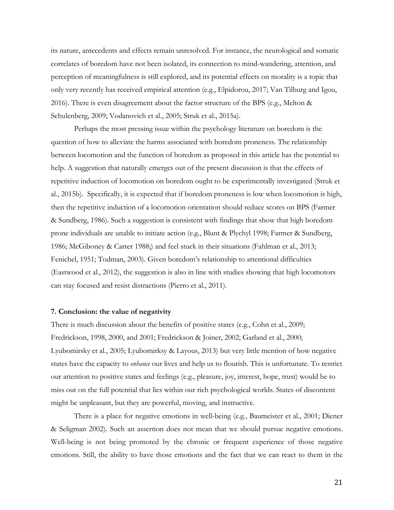its nature, antecedents and effects remain unresolved. For instance, the neurological and somatic correlates of boredom have not been isolated, its connection to mind-wandering, attention, and perception of meaningfulness is still explored, and its potential effects on morality is a topic that only very recently has received empirical attention (e.g., Elpidorou, 2017; Van Tilburg and Igou, 2016). There is even disagreement about the factor structure of the BPS (e.g., Melton & Schulenberg, 2009; Vodanovich et al., 2005; Struk et al., 2015a).

Perhaps the most pressing issue within the psychology literature on boredom is the question of how to alleviate the harms associated with boredom proneness. The relationship between locomotion and the function of boredom as proposed in this article has the potential to help. A suggestion that naturally emerges out of the present discussion is that the effects of repetitive induction of locomotion on boredom ought to be experimentally investigated (Struk et al., 2015b). Specifically, it is expected that if boredom proneness is low when locomotion is high, then the repetitive induction of a locomotion orientation should reduce scores on BPS (Farmer & Sundberg, 1986). Such a suggestion is consistent with findings that show that high boredom prone individuals are unable to initiate action (e.g., Blunt & Plychyl 1998; Farmer & Sundberg, 1986; McGiboney & Carter 1988;) and feel stuck in their situations (Fahlman et al., 2013; Fenichel, 1951; Todman, 2003). Given boredom's relationship to attentional difficulties (Eastwood et al., 2012), the suggestion is also in line with studies showing that high locomotors can stay focused and resist distractions (Pierro et al., 2011).

## **7. Conclusion: the value of negativity**

There is much discussion about the benefits of positive states (e.g., Cohn et al., 2009; Fredrickson, 1998, 2000, and 2001; Fredrickson & Joiner, 2002; Garland et al., 2000; Lyubomirsky et al., 2005; Lyubomirksy & Layous, 2013) but very little mention of how negative states have the capacity to *enhance* our lives and help us to flourish. This is unfortunate. To restrict our attention to positive states and feelings (e.g., pleasure, joy, interest, hope, trust) would be to miss out on the full potential that lies within our rich psychological worlds. States of discontent might be unpleasant, but they are powerful, moving, and instructive.

There is a place for negative emotions in well-being (e.g., Baumeister et al., 2001; Diener & Seligman 2002). Such an assertion does not mean that we should pursue negative emotions. Well-being is not being promoted by the chronic or frequent experience of those negative emotions. Still, the ability to have those emotions and the fact that we can react to them in the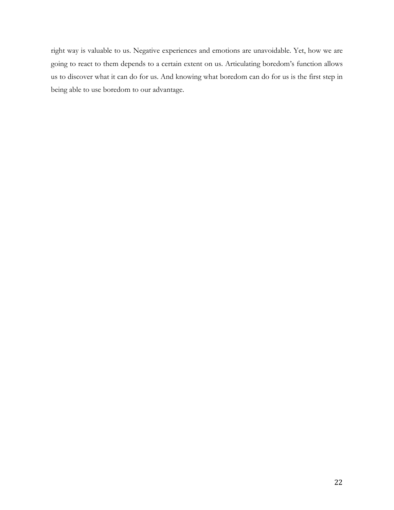right way is valuable to us. Negative experiences and emotions are unavoidable. Yet, how we are going to react to them depends to a certain extent on us. Articulating boredom's function allows us to discover what it can do for us. And knowing what boredom can do for us is the first step in being able to use boredom to our advantage.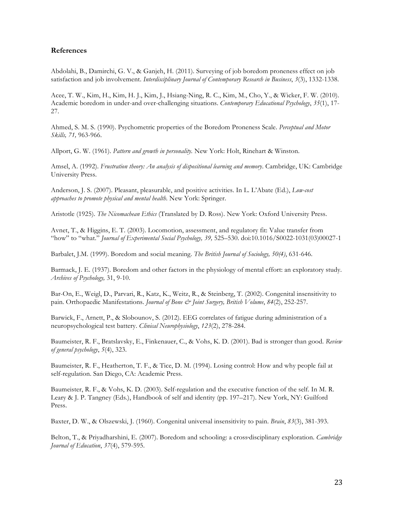# **References**

Abdolahi, B., Damirchi, G. V., & Ganjeh, H. (2011). Surveying of job boredom proneness effect on job satisfaction and job involvement. *Interdisciplinary Journal of Contemporary Research in Business*, *3*(3), 1332-1338.

Acee, T. W., Kim, H., Kim, H. J., Kim, J., Hsiang-Ning, R. C., Kim, M., Cho, Y., & Wicker, F. W. (2010). Academic boredom in under-and over-challenging situations. *Contemporary Educational Psychology*, *35*(1), 17- 27.

Ahmed, S. M. S. (1990). Psychometric properties of the Boredom Proneness Scale. *Perceptual and Motor Skills, 71,* 963-966.

Allport, G. W. (1961). *Pattern and growth in personality.* New York: Holt, Rinehart & Winston.

Amsel, A. (1992). *Frustration theory: An analysis of dispositional learning and memory*. Cambridge, UK: Cambridge University Press.

Anderson, J. S. (2007). Pleasant, pleasurable, and positive activities. In L. L'Abate (Ed.), *Low-cost approaches to promote physical and mental health*. New York: Springer.

Aristotle (1925). *The Nicomachean Ethics* (Translated by D. Ross). New York: Oxford University Press.

Avnet, T., & Higgins, E. T. (2003). Locomotion, assessment, and regulatory fit: Value transfer from "how" to "what." *Journal of Experimental Social Psychology, 39,* 525–530. doi:10.1016/S0022-1031(03)00027-1

Barbalet, J.M. (1999). Boredom and social meaning. *The British Journal of Sociology, 50(4)*, 631-646.

Barmack, J. E. (1937). Boredom and other factors in the physiology of mental effort: an exploratory study. *Archives of Psychology,* 31, 9-10.

Bar-On, E., Weigl, D., Parvari, R., Katz, K., Weitz, R., & Steinberg, T. (2002). Congenital insensitivity to pain. Orthopaedic Manifestations. *Journal of Bone & Joint Surgery, British Volume*, *84*(2), 252-257.

Barwick, F., Arnett, P., & Slobounov, S. (2012). EEG correlates of fatigue during administration of a neuropsychological test battery. *Clinical Neurophysiology*, *123*(2), 278-284.

Baumeister, R. F., Bratslavsky, E., Finkenauer, C., & Vohs, K. D. (2001). Bad is stronger than good. *Review of general psychology*, *5*(4), 323.

Baumeister, R. F., Heatherton, T. F., & Tice, D. M. (1994). Losing control: How and why people fail at self-regulation. San Diego, CA: Academic Press.

Baumeister, R. F., & Vohs, K. D. (2003). Self-regulation and the executive function of the self. In M. R. Leary & J. P. Tangney (Eds.), Handbook of self and identity (pp. 197–217). New York, NY: Guilford Press.

Baxter, D. W., & Olszewski, J. (1960). Congenital universal insensitivity to pain. *Brain*, *83*(3), 381-393.

Belton, T., & Priyadharshini, E. (2007). Boredom and schooling: a cross‐disciplinary exploration. *Cambridge Journal of Education*, *37*(4), 579-595.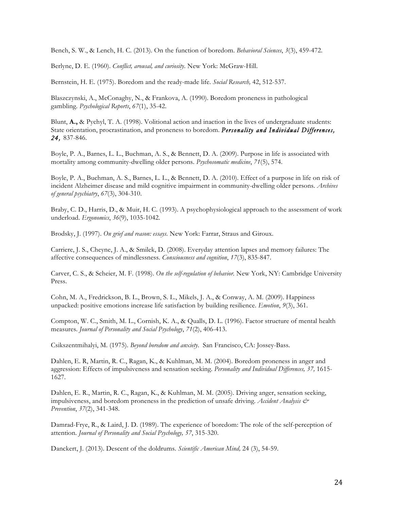Bench, S. W., & Lench, H. C. (2013). On the function of boredom. *Behavioral Sciences*, *3*(3), 459-472.

Berlyne, D. E. (1960). *Conflict, arousal, and curiosity*. New York: McGraw-Hill.

Bernstein, H. E. (1975). Boredom and the ready-made life. *Social Research,* 42, 512-537.

Blaszczynski, A., McConaghy, N., & Frankova, A. (1990). Boredom proneness in pathological gambling. *Psychological Reports*, *67*(1), 35-42.

Blunt, **A.,** & Pychyl, T. A. (1998). Volitional action and inaction in the lives of undergraduate students: State orientation, procrastination, and proneness to boredom. *Personality and Individual Differences, 24,* 837-846.

Boyle, P. A., Barnes, L. L., Buchman, A. S., & Bennett, D. A. (2009). Purpose in life is associated with mortality among community-dwelling older persons. *Psychosomatic medicine*, *71*(5), 574.

Boyle, P. A., Buchman, A. S., Barnes, L. L., & Bennett, D. A. (2010). Effect of a purpose in life on risk of incident Alzheimer disease and mild cognitive impairment in community-dwelling older persons. *Archives of general psychiatry*, *67*(3), 304-310.

Braby, C. D., Harris, D., & Muir, H. C. (1993). A psychophysiological approach to the assessment of work underload. *Ergonomics*, *36*(9), 1035-1042.

Brodsky, J. (1997). *On grief and reason: essays.* New York: Farrar, Straus and Giroux.

Carriere, J. S., Cheyne, J. A., & Smilek, D. (2008). Everyday attention lapses and memory failures: The affective consequences of mindlessness. *Consciousness and cognition*, *17*(3), 835-847.

Carver, C. S., & Scheier, M. F. (1998). *On the self-regulation of behavior.* New York, NY: Cambridge University Press.

Cohn, M. A., Fredrickson, B. L., Brown, S. L., Mikels, J. A., & Conway, A. M. (2009). Happiness unpacked: positive emotions increase life satisfaction by building resilience. *Emotion*, *9*(3), 361.

Compton, W. C., Smith, M. L., Cornish, K. A., & Qualls, D. L. (1996). Factor structure of mental health measures. *Journal of Personality and Social Psychology*, *71*(2), 406-413.

Csikszentmihalyi, M. (1975). *Beyond boredom and anxiety*. San Francisco, CA: Jossey-Bass.

Dahlen, E. R, Martin, R. C., Ragan, K., & Kuhlman, M. M. (2004). Boredom proneness in anger and aggression: Effects of impulsiveness and sensation seeking. *Personality and Individual Differences, 37,* 1615- 1627.

Dahlen, E. R., Martin, R. C., Ragan, K., & Kuhlman, M. M. (2005). Driving anger, sensation seeking, impulsiveness, and boredom proneness in the prediction of unsafe driving. *Accident Analysis & Prevention*, *37*(2), 341-348.

Damrad-Frye, R., & Laird, J. D. (1989). The experience of boredom: The role of the self-perception of attention*. Journal of Personality and Social Psychology, 57*, 315-320.

Danckert, J. (2013). Descent of the doldrums. *Scientific American Mind,* 24 (3), 54-59.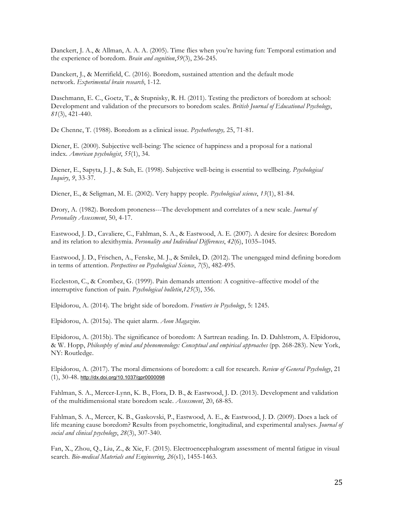Danckert, J. A., & Allman, A. A. A. (2005). Time flies when you're having fun: Temporal estimation and the experience of boredom. *Brain and cognition*,*59*(3), 236-245.

Danckert, J., & Merrifield, C. (2016). Boredom, sustained attention and the default mode network. *Experimental brain research*, 1-12.

Daschmann, E. C., Goetz, T., & Stupnisky, R. H. (2011). Testing the predictors of boredom at school: Development and validation of the precursors to boredom scales. *British Journal of Educational Psychology*, *81*(3), 421-440.

De Chenne, T. (1988). Boredom as a clinical issue. *Psychotherapy,* 25, 71-81.

Diener, E. (2000). Subjective well-being: The science of happiness and a proposal for a national index. *American psychologist*, *55*(1), 34.

Diener, E., Sapyta, J. J., & Suh, E. (1998). Subjective well-being is essential to wellbeing. *Psychological Inquiry*, *9*, 33-37.

Diener, E., & Seligman, M. E. (2002). Very happy people. *Psychological science*, *13*(1), 81-84.

Drory, A. (1982). Boredom proneness---The development and correlates of a new scale. *Journal of Personality Assessment*, 50, 4-17.

Eastwood, J. D., Cavaliere, C., Fahlman, S. A., & Eastwood, A. E. (2007). A desire for desires: Boredom and its relation to alexithymia. *Personality and Individual Differences*, *42*(6), 1035–1045.

Eastwood, J. D., Frischen, A., Fenske, M. J., & Smilek, D. (2012). The unengaged mind defining boredom in terms of attention. *Perspectives on Psychological Science*, *7*(5), 482-495.

Eccleston, C., & Crombez, G. (1999). Pain demands attention: A cognitive–affective model of the interruptive function of pain. *Psychological bulletin*,*125*(3), 356.

Elpidorou, A. (2014). The bright side of boredom. *Frontiers in Psychology*, 5: 1245.

Elpidorou, A. (2015a). The quiet alarm. *Aeon Magazine.* 

Elpidorou, A. (2015b). The significance of boredom: A Sartrean reading. In. D. Dahlstrom, A. Elpidorou, & W. Hopp, *Philosophy of mind and phenomenology: Conceptual and empirical approaches* (pp. 268-283). New York, NY: Routledge.

Elpidorou, A. (2017). The moral dimensions of boredom: a call for research. *Review of General Psychology*, 21 (1), 30-48. http://dx.doi.org/10.1037/gpr0000098

Fahlman, S. A., Mercer-Lynn, K. B., Flora, D. B., & Eastwood, J. D. (2013). Development and validation of the multidimensional state boredom scale. *Assessment*, 20, 68-85.

Fahlman, S. A., Mercer, K. B., Gaskovski, P., Eastwood, A. E., & Eastwood, J. D. (2009). Does a lack of life meaning cause boredom? Results from psychometric, longitudinal, and experimental analyses. *Journal of social and clinical psychology*, *28*(3), 307-340.

Fan, X., Zhou, Q., Liu, Z., & Xie, F. (2015). Electroencephalogram assessment of mental fatigue in visual search. *Bio-medical Materials and Engineering*, *26*(s1), 1455-1463.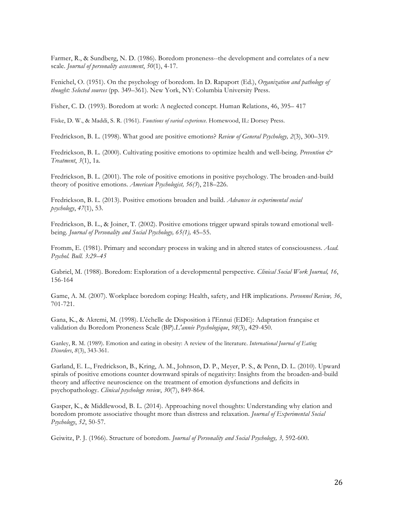Farmer, R., & Sundberg, N. D. (1986). Boredom proneness--the development and correlates of a new scale. *Journal of personality assessment*, *50*(1), 4-17.

Fenichel, O. (1951). On the psychology of boredom. In D. Rapaport (Ed.), *Organization and pathology of thought: Selected sources* (pp. 349–361). New York, NY: Columbia University Press.

Fisher, C. D. (1993). Boredom at work: A neglected concept. Human Relations, 46, 395– 417

Fiske, D. W., & Maddi, S. R. (1961). *Functions of varied experience*. Homewood, IL: Dorsey Press.

Fredrickson, B. L. (1998). What good are positive emotions? *Review of General Psychology, 2*(3), 300–319.

Fredrickson, B. L. (2000). Cultivating positive emotions to optimize health and well-being. *Prevention & Treatment*, *3*(1), 1a.

Fredrickson, B. L. (2001). The role of positive emotions in positive psychology. The broaden-and-build theory of positive emotions. *American Psychologist, 56(3*), 218–226.

Fredrickson, B. L. (2013). Positive emotions broaden and build. *Advances in experimental social psychology*, *47*(1), 53.

Fredrickson, B. L., & Joiner, T. (2002). Positive emotions trigger upward spirals toward emotional wellbeing*. Journal of Personality and Social Psychology, 65(1),* 45–55.

Fromm, E. (1981). Primary and secondary process in waking and in altered states of consciousness. *Acad. Psychol. Bull. 3:29–45* 

Gabriel, M. (1988). Boredom: Exploration of a developmental perspective. *Clinical Social Work Journal, 16*, 156-164

Game, A. M. (2007). Workplace boredom coping: Health, safety, and HR implications. *Personnel Review, 36*, 701-721.

Gana, K., & Akremi, M. (1998). L'échelle de Disposition à l'Ennui (EDE): Adaptation française et validation du Boredom Proneness Scale (BP).*L'année Psychologique*, *98*(3), 429-450.

Ganley, R. M. (1989). Emotion and eating in obesity: A review of the literature. *International Journal of Eating Disorders*, *8*(3), 343-361.

Garland, E. L., Fredrickson, B., Kring, A. M., Johnson, D. P., Meyer, P. S., & Penn, D. L. (2010). Upward spirals of positive emotions counter downward spirals of negativity: Insights from the broaden-and-build theory and affective neuroscience on the treatment of emotion dysfunctions and deficits in psychopathology. *Clinical psychology review*, *30*(7), 849-864.

Gasper, K., & Middlewood, B. L. (2014). Approaching novel thoughts: Understanding why elation and boredom promote associative thought more than distress and relaxation. *Journal of Experimental Social Psychology*, *52*, 50-57.

Geiwitz, P. J. (1966). Structure of boredom. *Journal of Personality and Social Psychology, 3,* 592-600.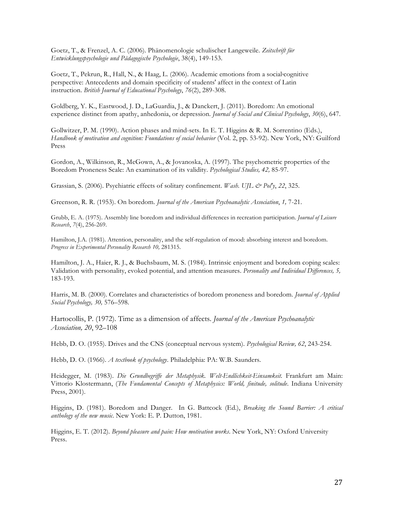Goetz, T., & Frenzel, A. C. (2006). Phänomenologie schulischer Langeweile. *Zeitschrift für Entwicklungspsychologie und Pädagogische Psychologie*, 38(4), 149-153.

Goetz, T., Pekrun, R., Hall, N., & Haag, L. (2006). Academic emotions from a social-cognitive perspective: Antecedents and domain specificity of students' affect in the context of Latin instruction. *British Journal of Educational Psychology*, *76*(2), 289-308.

Goldberg, Y. K., Eastwood, J. D., LaGuardia, J., & Danckert, J. (2011). Boredom: An emotional experience distinct from apathy, anhedonia, or depression. *Journal of Social and Clinical Psychology*, *30*(6), 647.

Gollwitzer, P. M. (1990). Action phases and mind-sets. In E. T. Higgins & R. M. Sorrentino (Eds.), *Handbook of motivation and cognition: Foundations of social behavior* (Vol. 2, pp. 53-92). New York, NY: Guilford Press

Gordon, A., Wilkinson, R., McGown, A., & Jovanoska, A. (1997). The psychometric properties of the Boredom Proneness Scale: An examination of its validity. *Psychological Studies, 42,* 85-97.

Grassian, S. (2006). Psychiatric effects of solitary confinement. *Wash. UJL & Pol'y*, *22*, 325.

Greenson, R. R. (1953). On boredom. *Journal of the American Psychoanalytic Association*, *1,* 7-21.

Grubb, E. A. (1975). Assembly line boredom and individual differences in recreation participation. *Journal of Leisure Research*, *7*(4), 256-269.

Hamilton, J.A. (1981). Attention, personality, and the self-regulation of mood: absorbing interest and boredom. *Progress in Experimental Personality Research 10,* 281315.

Hamilton, J. A., Haier, R. J., & Buchsbaum, M. S. (1984). Intrinsic enjoyment and boredom coping scales: Validation with personality, evoked potential, and attention measures. *Personality and Individual Differences, 5,*  183-193.

Harris, M. B. (2000). Correlates and characteristics of boredom proneness and boredom. *Journal of Applied Social Psychology, 30,* 576–598.

Hartocollis, P. (1972). Time as a dimension of affects. *Journal of the American Psychoanalytic Association, 20*, 92–108

Hebb, D. O. (1955). Drives and the CNS (conceptual nervous system). *Psychological Review, 62*, 243-254.

Hebb, D. O. (1966). *A textbook of psychology*. Philadelphia: PA: W.B. Saunders.

Heidegger, M. (1983). *Die Grundbegriffe der Metaphysik. Welt-Endlichkeit-Einsamkeit.* Frankfurt am Main: Vittorio Klostermann, (*The Fundamental Concepts of Metaphysics: World, finitude, solitude*. Indiana University Press, 2001).

Higgins, D. (1981). Boredom and Danger. In G. Battcock (Ed.), *Breaking the Sound Barrier: A critical anthology of the new music*. New York: E. P. Dutton, 1981.

Higgins, E. T. (2012). *Beyond pleasure and pain: How motivation works*. New York, NY: Oxford University Press.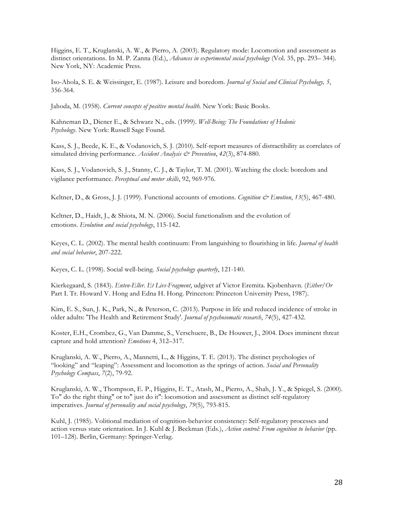Higgins, E. T., Kruglanski, A. W., & Pierro, A. (2003). Regulatory mode: Locomotion and assessment as distinct orientations. In M. P. Zanna (Ed.), *Advances in experimental social psychology* (Vol. 35, pp. 293*–* 344)*.*  New York, NY: Academic Press.

Iso-Ahola, S. E. & Weissinger, E. (1987). Leisure and boredom. *Journal of Social and Clinical Psychology, 5*, 356-364.

Jahoda, M. (1958). *Current concepts of positive mental health.* New York: Basic Books.

Kahneman D., Diener E., & Schwarz N., eds. (1999). *Well-Being: The Foundations of Hedonic Psychology*. New York: Russell Sage Found.

Kass, S. J., Beede, K. E., & Vodanovich, S. J. (2010). Self-report measures of distractibility as correlates of simulated driving performance. *Accident Analysis & Prevention*, *42*(3), 874-880.

Kass, S. J., Vodanovich, S. J., Stanny, C. J., & Taylor, T. M. (2001). Watching the clock: boredom and vigilance performance. *Perceptual and motor skills*, 92, 969-976.

Keltner, D., & Gross, J. J. (1999). Functional accounts of emotions. *Cognition & Emotion*, *13*(5), 467-480.

Keltner, D., Haidt, J., & Shiota, M. N. (2006). Social functionalism and the evolution of emotions. *Evolution and social psychology*, 115-142.

Keyes, C. L. (2002). The mental health continuum: From languishing to flourishing in life. *Journal of health and social behavior*, 207-222.

Keyes, C. L. (1998). Social well-being. *Social psychology quarterly*, 121-140.

Kierkegaard, S. (1843). *Enten-Eller. Et Livs-Fragment*, udgivet af Victor Eremita. Kjobenhavn. (*Either/Or*  Part I. Tr. Howard V. Hong and Edna H. Hong. Princeton: Princeton University Press, 1987).

Kim, E. S., Sun, J. K., Park, N., & Peterson, C. (2013). Purpose in life and reduced incidence of stroke in older adults: 'The Health and Retirement Study'. *Journal of psychosomatic research*, *74*(5), 427-432.

Koster, E.H., Crombez, G., Van Damme, S., Verschuere, B., De Houwer, J., 2004. Does imminent threat capture and hold attention? *Emotions* 4, 312–317.

Kruglanski, A. W., Pierro, A., Mannetti, L., & Higgins, T. E. (2013). The distinct psychologies of "looking" and "leaping": Assessment and locomotion as the springs of action. *Social and Personality Psychology Compass*, *7*(2), 79-92.

Kruglanski, A. W., Thompson, E. P., Higgins, E. T., Atash, M., Pierro, A., Shah, J. Y., & Spiegel, S. (2000). To" do the right thing" or to" just do it": locomotion and assessment as distinct self-regulatory imperatives. *Journal of personality and social psychology*, *79*(5), 793-815.

Kuhl, J. (1985). Volitional mediation of cognition-behavior consistency: Self-regulatory processes and action versus state orientation. In J. Kuhl & J. Beckman (Eds.), *Action control: From cognition to behavior* (pp. 101–128). Berlin, Germany: Springer-Verlag.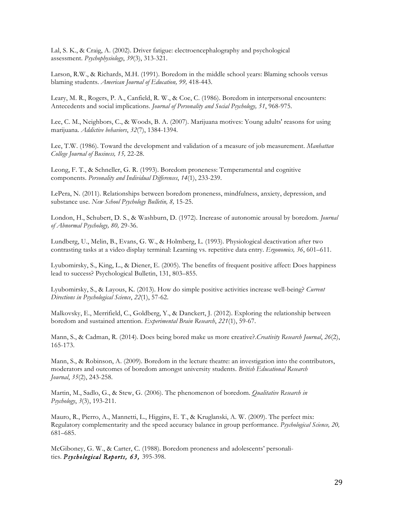Lal, S. K., & Craig, A. (2002). Driver fatigue: electroencephalography and psychological assessment. *Psychophysiology*, *39*(3), 313-321.

Larson, R.W., & Richards, M.H. (1991). Boredom in the middle school years: Blaming schools versus blaming students. *American Journal of Education, 99,* 418-443.

Leary, M. R., Rogers, P. A., Canfield, R. W., & Coe, C. (1986). Boredom in interpersonal encounters: Antecedents and social implications. *Journal of Personality and Social Psychology, 51*, 968-975.

Lee, C. M., Neighbors, C., & Woods, B. A. (2007). Marijuana motives: Young adults' reasons for using marijuana. *Addictive behaviors*, *32*(7), 1384-1394.

Lee, T.W. (1986). Toward the development and validation of a measure of job measurement. *Manhattan College Journal of Business, 15,* 22-28.

Leong, F. T., & Schneller, G. R. (1993). Boredom proneness: Temperamental and cognitive components. *Personality and Individual Differences*, *14*(1), 233-239.

LePera, N. (2011). Relationships between boredom proneness, mindfulness, anxiety, depression, and substance use. *New School Psychology Bulletin, 8,* 15-25.

London, H., Schubert, D. S., & Washburn, D. (1972). Increase of autonomic arousal by boredom. *Journal of Abnormal Psychology, 80,* 29-36.

Lundberg, U., Melin, B., Evans, G. W., & Holmberg, L. (1993). Physiological deactivation after two contrasting tasks at a video display terminal: Learning vs. repetitive data entry. *Ergonomics, 36*, 601–611.

Lyubomirsky, S., King, L., & Diener, E. (2005). The benefits of frequent positive affect: Does happiness lead to success? Psychological Bulletin, 131, 803–855.

Lyubomirsky, S., & Layous, K. (2013). How do simple positive activities increase well-being? *Current Directions in Psychological Science*, *22*(1), 57-62.

Malkovsky, E., Merrifield, C., Goldberg, Y., & Danckert, J. (2012). Exploring the relationship between boredom and sustained attention. *Experimental Brain Research*, *221*(1), 59-67.

Mann, S., & Cadman, R. (2014). Does being bored make us more creative?.*Creativity Research Journal*, *26*(2), 165-173.

Mann, S., & Robinson, A. (2009). Boredom in the lecture theatre: an investigation into the contributors, moderators and outcomes of boredom amongst university students. *British Educational Research Journal*, *35*(2), 243-258.

Martin, M., Sadlo, G., & Stew, G. (2006). The phenomenon of boredom. *Qualitative Research in Psychology*, *3*(3), 193-211.

Mauro, R., Pierro, A., Mannetti, L., Higgins, E. T., & Kruglanski, A. W. (2009). The perfect mix: Regulatory complementarity and the speed accuracy balance in group performance. *Psychological Science, 20,*  681–685.

McGiboney, G. W., & Carter, C. (1988). Boredom proneness and adolescents' personalities. *Psychological Reports, 63,* 395-398.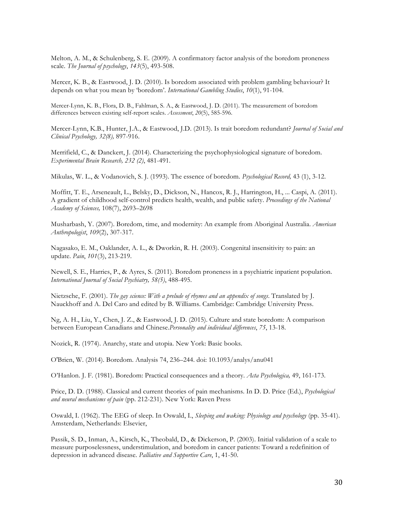Melton, A. M., & Schulenberg, S. E. (2009). A confirmatory factor analysis of the boredom proneness scale. *The Journal of psychology*, *143*(5), 493-508.

Mercer, K. B., & Eastwood, J. D. (2010). Is boredom associated with problem gambling behaviour? It depends on what you mean by 'boredom'. *International Gambling Studies*, *10*(1), 91-104.

Mercer-Lynn, K. B., Flora, D. B., Fahlman, S. A., & Eastwood, J. D. (2011). The measurement of boredom differences between existing self-report scales. *Assessment*, *20*(5), 585-596.

Mercer-Lynn, K.B., Hunter, J.A., & Eastwood, J.D. (2013). Is trait boredom redundant? *Journal of Social and Clinical Psychology, 32(8),* 897-916.

Merrifield, C., & Danckert, J. (2014). Characterizing the psychophysiological signature of boredom. *Experimental Brain Research, 232 (2)*, 481-491.

Mikulas, W. L., & Vodanovich, S. J. (1993). The essence of boredom. *Psychological Record,* 43 (1), 3-12.

Moffitt, T. E., Arseneault, L., Belsky, D., Dickson, N., Hancox, R. J., Harrington, H., ... Caspi, A. (2011). A gradient of childhood self-control predicts health, wealth, and public safety. *Proceedings of the National Academy of Sciences,* 108(7), 2693–2698

Musharbash, Y. (2007). Boredom, time, and modernity: An example from Aboriginal Australia. *American Anthropologist*, *109*(2), 307-317.

Nagasako, E. M., Oaklander, A. L., & Dworkin, R. H. (2003). Congenital insensitivity to pain: an update. *Pain*, *101*(3), 213-219.

Newell, S. E., Harries, P., & Ayres, S. (2011). Boredom proneness in a psychiatric inpatient population. *International Journal of Social Psychiatry, 58(5)*, 488-495.

Nietzsche, F. (2001). *The gay science: With a prelude of rhymes and an appendix of songs*. Translated by J. Nauckhoff and A. Del Caro and edited by B. Williams. Cambridge: Cambridge University Press.

Ng, A. H., Liu, Y., Chen, J. Z., & Eastwood, J. D. (2015). Culture and state boredom: A comparison between European Canadians and Chinese.*Personality and individual differences*, *75*, 13-18.

Nozick, R. (1974). Anarchy, state and utopia. New York: Basic books.

O'Brien, W. (2014). Boredom. Analysis 74, 236–244. doi: 10.1093/analys/anu041

O'Hanlon. J. F. (1981). Boredom: Practical consequences and a theory. *Acta Psychologica,* 49, 161-173.

Price, D. D. (1988). Classical and current theories of pain mechanisms. In D. D. Price (Ed.), *Psychological and neural mechanisms of pain* (pp. 212-231). New York: Raven Press

Oswald, I. (1962). The EEG of sleep. In Oswald, I., *Sleeping and waking: Physiology and psychology* (pp. 35-41). Amsterdam, Netherlands: Elsevier,

Passik, S. D., Inman, A., Kirsch, K., Theobald, D., & Dickerson, P. (2003). Initial validation of a scale to measure purposelessness, understimulation, and boredom in cancer patients: Toward a redefinition of depression in advanced disease. *Palliative and Supportive Care*, 1, 41-50.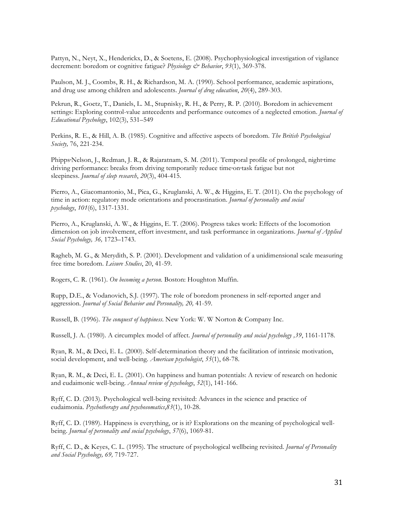Pattyn, N., Neyt, X., Henderickx, D., & Soetens, E. (2008). Psychophysiological investigation of vigilance decrement: boredom or cognitive fatigue? *Physiology & Behavior*, *93*(1), 369-378.

Paulson, M. J., Coombs, R. H., & Richardson, M. A. (1990). School performance, academic aspirations, and drug use among children and adolescents. *Journal of drug education*, *20*(4), 289-303.

Pekrun, R., Goetz, T., Daniels, L. M., Stupnisky, R. H., & Perry, R. P. (2010). Boredom in achievement settings: Exploring control-value antecedents and performance outcomes of a neglected emotion. *Journal of Educational Psychology*, 102(3), 531–549

Perkins, R. E., & Hill, A. B. (1985). Cognitive and affective aspects of boredom. *The British Psychological Society,* 76, 221-234.

Phipps-Nelson, J., Redman, J. R., & Rajaratnam, S. M. (2011). Temporal profile of prolonged, night-time driving performance: breaks from driving temporarily reduce time‐on‐task fatigue but not sleepiness. *Journal of sleep research*, *20*(3), 404-415.

Pierro, A., Giacomantonio, M., Pica, G., Kruglanski, A. W., & Higgins, E. T. (2011). On the psychology of time in action: regulatory mode orientations and procrastination. *Journal of personality and social psychology*, *101*(6), 1317-1331.

Pierro, A., Kruglanski, A. W., & Higgins, E. T. (2006). Progress takes work: Effects of the locomotion dimension on job involvement, effort investment, and task performance in organizations. *Journal of Applied Social Psychology, 36,* 1723–1743.

Ragheb, M. G., & Merydith, S. P. (2001). Development and validation of a unidimensional scale measuring free time boredom. *Leisure Studies*, 20, 41-59.

Rogers, C. R. (1961). *On becoming a person.* Boston: Houghton Muffin.

Rupp, D.E., & Vodanovich, S.J. (1997). The role of boredom proneness in self-reported anger and aggression. *Journal of Social Behavior and Personality, 20,* 41-59.

Russell, B. (1996). *The conquest of happiness*. New York: W. W Norton & Company Inc.

Russell, J. A. (1980). A circumplex model of affect. *Journal of personality and social psychology ,39*, 1161-1178.

Ryan, R. M., & Deci, E. L. (2000). Self-determination theory and the facilitation of intrinsic motivation, social development, and well-being. *American psychologist*, *55*(1), 68-78.

Ryan, R. M., & Deci, E. L. (2001). On happiness and human potentials: A review of research on hedonic and eudaimonic well-being. *Annual review of psychology*, *52*(1), 141-166.

Ryff, C. D. (2013). Psychological well-being revisited: Advances in the science and practice of eudaimonia. *Psychotherapy and psychosomatics*,*83*(1), 10-28.

Ryff, C. D. (1989). Happiness is everything, or is it? Explorations on the meaning of psychological wellbeing. *Journal of personality and social psychology*, *57*(6), 1069-81.

Ryff, C. D., & Keyes, C. L. (1995). The structure of psychological wellbeing revisited. *Journal of Personality and Social Psychology, 69,* 719-727.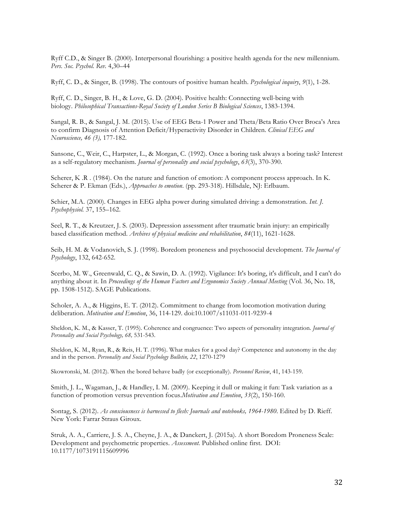Ryff C.D., & Singer B. (2000). Interpersonal flourishing: a positive health agenda for the new millennium. *Pers. Soc. Psychol. Rev.* 4,30–44

Ryff, C. D., & Singer, B. (1998). The contours of positive human health. *Psychological inquiry*, *9*(1), 1-28.

Ryff, C. D., Singer, B. H., & Love, G. D. (2004). Positive health: Connecting well-being with biology. *Philosophical Transactions-Royal Society of London Series B Biological Sciences*, 1383-1394.

Sangal, R. B., & Sangal, J. M. (2015). Use of EEG Beta-1 Power and Theta/Beta Ratio Over Broca's Area to confirm Diagnosis of Attention Deficit/Hyperactivity Disorder in Children. *Clinical EEG and Neuroscience, 46 (3),* 177-182.

Sansone, C., Weir, C., Harpster, L., & Morgan, C. (1992). Once a boring task always a boring task? Interest as a self-regulatory mechanism. *Journal of personality and social psychology*, *63*(3), 370-390.

Scherer, K .R . (1984). On the nature and function of emotion: A component process approach. In K. Scherer & P. Ekman (Eds.), *Approaches to emotion*. (pp. 293-318). Hillsdale, NJ: Erlbaum.

Schier, M.A. (2000). Changes in EEG alpha power during simulated driving: a demonstration. *Int. J. Psychophysiol.* 37, 155–162.

Seel, R. T., & Kreutzer, J. S. (2003). Depression assessment after traumatic brain injury: an empirically based classification method. *Archives of physical medicine and rehabilitation*, *84*(11), 1621-1628.

Seib, H. M. & Vodanovich, S. J. (1998). Boredom proneness and psychosocial development. *The Journal of Psychology*, 132, 642-652.

Scerbo, M. W., Greenwald, C. Q., & Sawin, D. A. (1992). Vigilance: It's boring, it's difficult, and I can't do anything about it. In *Proceedings of the Human Factors and Ergonomics Society Annual Meeting* (Vol. 36, No. 18, pp. 1508-1512). SAGE Publications.

Scholer, A. A., & Higgins, E. T. (2012). Commitment to change from locomotion motivation during deliberation. *Motivation and Emotion*, 36, 114-129. doi:10.1007/s11031-011-9239-4

Sheldon, K. M., & Kasser, T. (1995). Coherence and congruence: Two aspects of personality integration. *Journal of Personality and Social Psychology, 68,* 531-543.

Sheldon, K. M., Ryan, R., & Reis, H. T. (1996). What makes for a good day? Competence and autonomy in the day and in the person. *Personality and Social Psychology Bulletin, 22*, 1270-1279

Skowronski, M. (2012). When the bored behave badly (or exceptionally). *Personnel Review*, 41, 143-159.

Smith, J. L., Wagaman, J., & Handley, I. M. (2009). Keeping it dull or making it fun: Task variation as a function of promotion versus prevention focus.*Motivation and Emotion*, *33*(2), 150-160.

Sontag, S. (2012). *As consciousness is harnessed to flesh: Journals and notebooks, 1964-1980*. Edited by D. Rieff. New York: Farrar Straus Giroux.

Struk, A. A., Carriere, J. S. A., Cheyne, J. A., & Danckert, J. (2015a). A short Boredom Proneness Scale: Development and psychometric properties. *Assessment.* Published online first. DOI: 10.1177/1073191115609996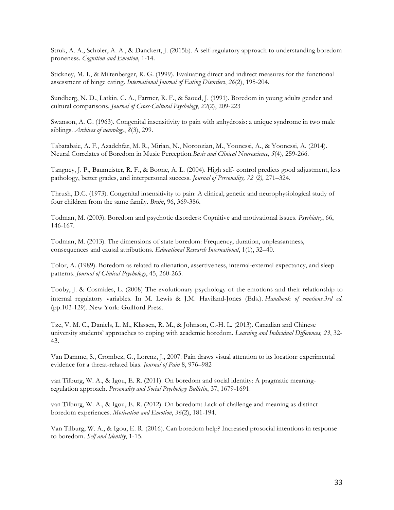Struk, A. A., Scholer, A. A., & Danckert, J. (2015b). A self-regulatory approach to understanding boredom proneness. *Cognition and Emotion*, 1-14.

Stickney, M. I., & Miltenberger, R. G. (1999). Evaluating direct and indirect measures for the functional assessment of binge eating. *International Journal of Eating Disorders*, *26*(2), 195-204.

Sundberg, N. D., Latkin, C. A., Farmer, R. F., & Saoud, J. (1991). Boredom in young adults gender and cultural comparisons. *Journal of Cross-Cultural Psychology*, *22*(2), 209-223

Swanson, A. G. (1963). Congenital insensitivity to pain with anhydrosis: a unique syndrome in two male siblings. *Archives of neurology*, *8*(3), 299.

Tabatabaie, A. F., Azadehfar, M. R., Mirian, N., Noroozian, M., Yoonessi, A., & Yoonessi, A. (2014). Neural Correlates of Boredom in Music Perception.*Basic and Clinical Neuroscience*, *5*(4), 259-266.

Tangney, J. P., Baumeister, R. F., & Boone, A. L. (2004). High self- control predicts good adjustment, less pathology, better grades, and interpersonal success. *Journal of Personality, 72 (2),* 271–324.

Thrush, D.C. (1973). Congenital insensitivity to pain: A clinical, genetic and neurophysiological study of four children from the same family. *Brain*, 96, 369-386.

Todman, M. (2003). Boredom and psychotic disorders: Cognitive and motivational issues. *Psychiatry*, 66, 146-167.

Todman, M. (2013). The dimensions of state boredom: Frequency, duration, unpleasantness, consequences and causal attributions. *Educational Research International*, 1(1), 32–40.

Tolor, A. (1989). Boredom as related to alienation, assertiveness, internal-external expectancy, and sleep patterns. *Journal of Clinical Psychology*, 45, 260-265.

Tooby, J. & Cosmides, L. (2008) The evolutionary psychology of the emotions and their relationship to internal regulatory variables. In M. Lewis & J.M. Haviland-Jones (Eds.). *Handbook of emotions.3rd ed*. (pp.103-129). New York: Guilford Press.

Tze, V. M. C., Daniels, L. M., Klassen, R. M., & Johnson, C.-H. L. (2013). Canadian and Chinese university students' approaches to coping with academic boredom. *Learning and Individual Differences, 23*, 32- 43.

Van Damme, S., Crombez, G., Lorenz, J., 2007. Pain draws visual attention to its location: experimental evidence for a threat-related bias. *Journal of Pain* 8, 976–982

van Tilburg, W. A., & Igou, E. R. (2011). On boredom and social identity: A pragmatic meaningregulation approach. *Personality and Social Psychology Bulletin*, 37, 1679-1691.

van Tilburg, W. A., & Igou, E. R. (2012). On boredom: Lack of challenge and meaning as distinct boredom experiences. *Motivation and Emotion*, *36*(2), 181-194.

Van Tilburg, W. A., & Igou, E. R. (2016). Can boredom help? Increased prosocial intentions in response to boredom. *Self and Identity*, 1-15.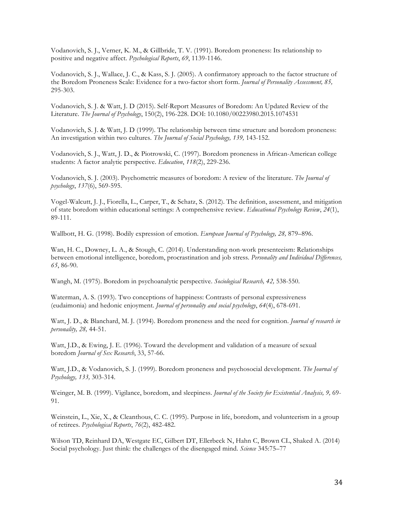Vodanovich, S. J., Verner, K. M., & Gillbride, T. V. (1991). Boredom proneness: Its relationship to positive and negative affect. *Psychological Reports*, *69*, 1139-1146.

Vodanovich, S. J., Wallace, J. C., & Kass, S. J. (2005). A confirmatory approach to the factor structure of the Boredom Proneness Scale: Evidence for a two-factor short form. *Journal of Personality Assessment, 85,*  295-303.

Vodanovich, S. J. & Watt, J. D (2015). Self-Report Measures of Boredom: An Updated Review of the Literature. *The Journal of Psychology*, 150(2), 196-228. DOI: 10.1080/00223980.2015.1074531

Vodanovich, S. J. & Watt, J. D (1999). The relationship between time structure and boredom proneness: An investigation within two cultures. *The Journal of Social Psychology, 139,* 143-152.

Vodanovich, S. J., Watt, J. D., & Piotrowski, C. (1997). Boredom proneness in African-American college students: A factor analytic perspective. *Education*, *118*(2), 229-236.

Vodanovich, S. J. (2003). Psychometric measures of boredom: A review of the literature. *The Journal of psychology*, *137*(6), 569-595.

Vogel-Walcutt, J. J., Fiorella, L., Carper, T., & Schatz, S. (2012). The definition, assessment, and mitigation of state boredom within educational settings: A comprehensive review. *Educational Psychology Review*, *24*(1), 89-111.

Wallbott, H. G. (1998). Bodily expression of emotion. *European Journal of Psychology, 28,* 879–896.

Wan, H. C., Downey, L. A., & Stough, C. (2014). Understanding non-work presenteeism: Relationships between emotional intelligence, boredom, procrastination and job stress. *Personality and Individual Differences, 65*, 86-90.

Wangh, M. (1975). Boredom in psychoanalytic perspective. *Sociological Research, 42,* 538-550.

Waterman, A. S. (1993). Two conceptions of happiness: Contrasts of personal expressiveness (eudaimonia) and hedonic enjoyment. *Journal of personality and social psychology*, *64*(4), 678-691.

Watt, J. D., & Blanchard, M. J. (1994). Boredom proneness and the need for cognition. *Journal of research in personality, 28,* 44-51.

Watt, J.D., & Ewing, J. E. (1996). Toward the development and validation of a measure of sexual boredom *Journal of Sex Research*, 33, 57-66.

Watt, J.D., & Vodanovich, S. J. (1999). Boredom proneness and psychosocial development. *The Journal of Psychology, 133,* 303-314.

Weinger, M. B. (1999). Vigilance, boredom, and sleepiness. *Journal of the Society for Existential Analysis, 9,* 69- 91.

Weinstein, L., Xie, X., & Cleanthous, C. C. (1995). Purpose in life, boredom, and volunteerism in a group of retirees. *Psychological Reports*, *76*(2), 482-482.

Wilson TD, Reinhard DA, Westgate EC, Gilbert DT, Ellerbeck N, Hahn C, Brown CL, Shaked A. (2014) Social psychology. Just think: the challenges of the disengaged mind. *Science* 345:75–77